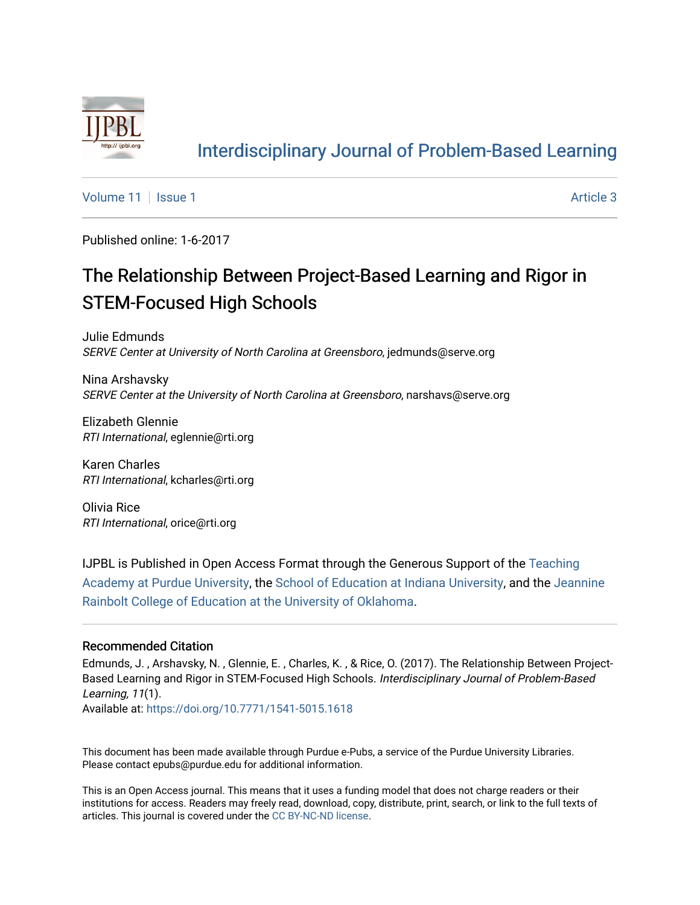

### [Interdisciplinary Journal of Problem-Based Learning](https://docs.lib.purdue.edu/ijpbl)

[Volume 11](https://docs.lib.purdue.edu/ijpbl/vol11) | [Issue 1](https://docs.lib.purdue.edu/ijpbl/vol11/iss1) Article 3

Published online: 1-6-2017

## The Relationship Between Project-Based Learning and Rigor in STEM-Focused High Schools

Julie Edmunds SERVE Center at University of North Carolina at Greensboro, jedmunds@serve.org

Nina Arshavsky SERVE Center at the University of North Carolina at Greensboro, narshavs@serve.org

Elizabeth Glennie RTI International, eglennie@rti.org

Karen Charles RTI International, kcharles@rti.org

Olivia Rice RTI International, orice@rti.org

IJPBL is Published in Open Access Format through the Generous Support of the [Teaching](https://www.purdue.edu/cie/aboutus/teachingacademy.html) [Academy at Purdue University](https://www.purdue.edu/cie/aboutus/teachingacademy.html), the [School of Education at Indiana University,](https://education.indiana.edu/index.html) and the [Jeannine](http://ou.edu/education) [Rainbolt College of Education at the University of Oklahoma](http://ou.edu/education).

#### Recommended Citation

Edmunds, J. , Arshavsky, N. , Glennie, E. , Charles, K. , & Rice, O. (2017). The Relationship Between Project-Based Learning and Rigor in STEM-Focused High Schools. Interdisciplinary Journal of Problem-Based Learning, 11(1).

Available at:<https://doi.org/10.7771/1541-5015.1618>

This document has been made available through Purdue e-Pubs, a service of the Purdue University Libraries. Please contact epubs@purdue.edu for additional information.

This is an Open Access journal. This means that it uses a funding model that does not charge readers or their institutions for access. Readers may freely read, download, copy, distribute, print, search, or link to the full texts of articles. This journal is covered under the [CC BY-NC-ND license](https://creativecommons.org/licenses/by-nc-nd/4.0/).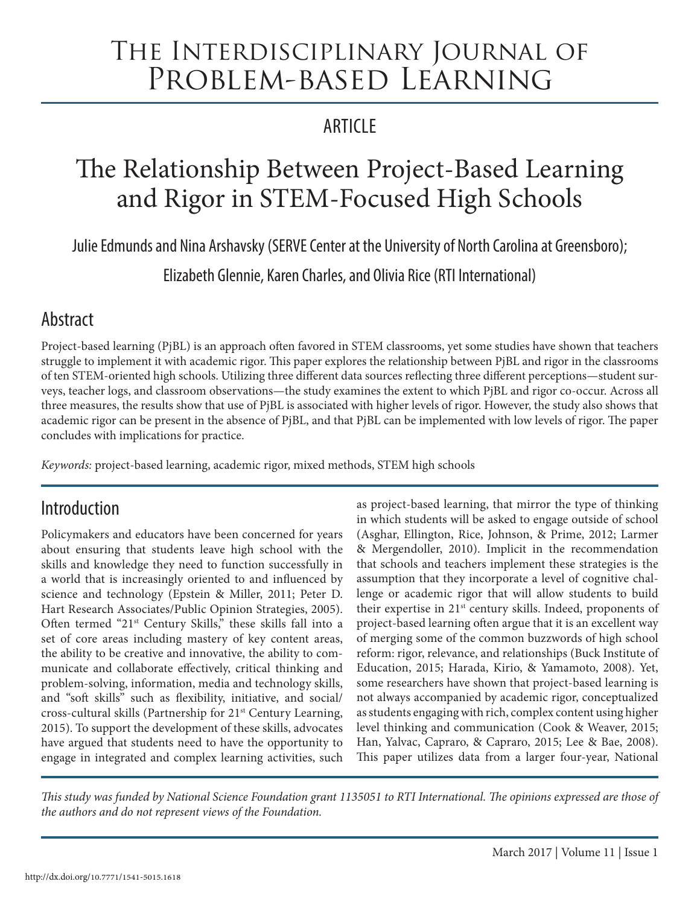# The Interdisciplinary Journal of Problem-based Learning

### **ARTICLE**

# The Relationship Between Project-Based Learning and Rigor in STEM-Focused High Schools

Julie Edmunds and Nina Arshavsky (SERVE Center at the University of North Carolina at Greensboro);

Elizabeth Glennie, Karen Charles, and Olivia Rice (RTI International)

### Abstract

Project-based learning (PjBL) is an approach often favored in STEM classrooms, yet some studies have shown that teachers struggle to implement it with academic rigor. This paper explores the relationship between PjBL and rigor in the classrooms of ten STEM-oriented high schools. Utilizing three different data sources reflecting three different perceptions—student surveys, teacher logs, and classroom observations—the study examines the extent to which PjBL and rigor co-occur. Across all three measures, the results show that use of PjBL is associated with higher levels of rigor. However, the study also shows that academic rigor can be present in the absence of PjBL, and that PjBL can be implemented with low levels of rigor. The paper concludes with implications for practice.

*Keywords:* project-based learning, academic rigor, mixed methods, STEM high schools

### Introduction

Policymakers and educators have been concerned for years about ensuring that students leave high school with the skills and knowledge they need to function successfully in a world that is increasingly oriented to and influenced by science and technology (Epstein & Miller, 2011; Peter D. Hart Research Associates/Public Opinion Strategies, 2005). Often termed "21st Century Skills," these skills fall into a set of core areas including mastery of key content areas, the ability to be creative and innovative, the ability to communicate and collaborate effectively, critical thinking and problem-solving, information, media and technology skills, and "soft skills" such as flexibility, initiative, and social/ cross-cultural skills (Partnership for 21st Century Learning, 2015). To support the development of these skills, advocates have argued that students need to have the opportunity to engage in integrated and complex learning activities, such

as project-based learning, that mirror the type of thinking in which students will be asked to engage outside of school (Asghar, Ellington, Rice, Johnson, & Prime, 2012; Larmer & Mergendoller, 2010). Implicit in the recommendation that schools and teachers implement these strategies is the assumption that they incorporate a level of cognitive challenge or academic rigor that will allow students to build their expertise in 21<sup>st</sup> century skills. Indeed, proponents of project-based learning often argue that it is an excellent way of merging some of the common buzzwords of high school reform: rigor, relevance, and relationships (Buck Institute of Education, 2015; Harada, Kirio, & Yamamoto, 2008). Yet, some researchers have shown that project-based learning is not always accompanied by academic rigor, conceptualized as students engaging with rich, complex content using higher level thinking and communication (Cook & Weaver, 2015; Han, Yalvac, Capraro, & Capraro, 2015; Lee & Bae, 2008). This paper utilizes data from a larger four-year, National

*This study was funded by National Science Foundation grant 1135051 to RTI International. The opinions expressed are those of the authors and do not represent views of the Foundation.*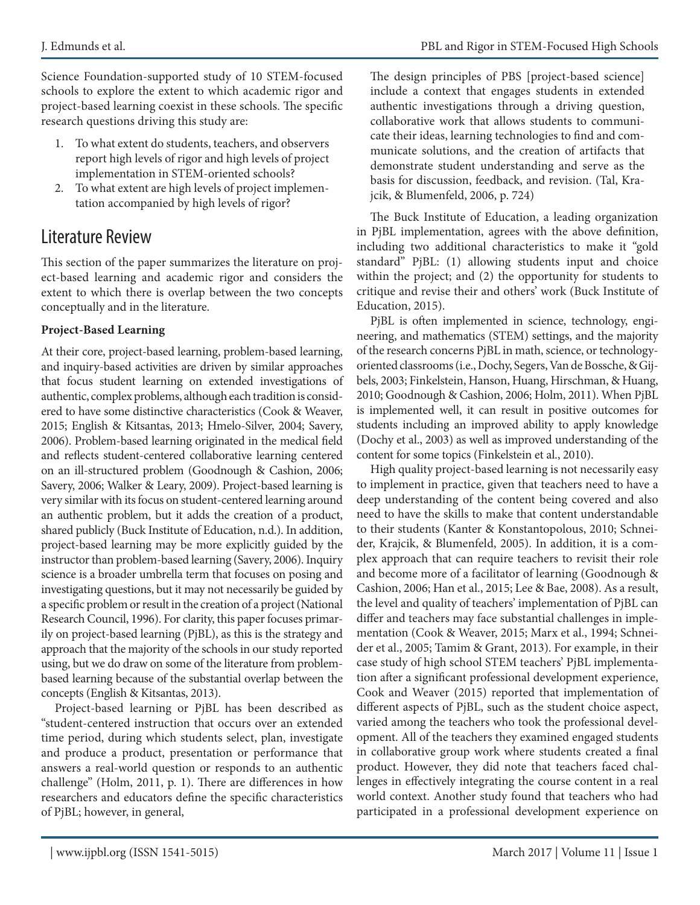J. Edmunds et al. PBL and Rigor in STEM-Focused High Schools

Science Foundation-supported study of 10 STEM-focused schools to explore the extent to which academic rigor and project-based learning coexist in these schools. The specific research questions driving this study are:

- 1. To what extent do students, teachers, and observers report high levels of rigor and high levels of project implementation in STEM-oriented schools?
- 2. To what extent are high levels of project implementation accompanied by high levels of rigor?

### Literature Review

This section of the paper summarizes the literature on project-based learning and academic rigor and considers the extent to which there is overlap between the two concepts conceptually and in the literature.

#### **Project-Based Learning**

At their core, project-based learning, problem-based learning, and inquiry-based activities are driven by similar approaches that focus student learning on extended investigations of authentic, complex problems, although each tradition is considered to have some distinctive characteristics (Cook & Weaver, 2015; English & Kitsantas, 2013; Hmelo-Silver, 2004; Savery, 2006). Problem-based learning originated in the medical field and reflects student-centered collaborative learning centered on an ill-structured problem (Goodnough & Cashion, 2006; Savery, 2006; Walker & Leary, 2009). Project-based learning is very similar with its focus on student-centered learning around an authentic problem, but it adds the creation of a product, shared publicly (Buck Institute of Education, n.d.). In addition, project-based learning may be more explicitly guided by the instructor than problem-based learning (Savery, 2006). Inquiry science is a broader umbrella term that focuses on posing and investigating questions, but it may not necessarily be guided by a specific problem or result in the creation of a project (National Research Council, 1996). For clarity, this paper focuses primarily on project-based learning (PjBL), as this is the strategy and approach that the majority of the schools in our study reported using, but we do draw on some of the literature from problembased learning because of the substantial overlap between the concepts (English & Kitsantas, 2013).

Project-based learning or PjBL has been described as "student-centered instruction that occurs over an extended time period, during which students select, plan, investigate and produce a product, presentation or performance that answers a real-world question or responds to an authentic challenge" (Holm, 2011, p. 1). There are differences in how researchers and educators define the specific characteristics of PjBL; however, in general,

The design principles of PBS [project-based science] include a context that engages students in extended authentic investigations through a driving question, collaborative work that allows students to communicate their ideas, learning technologies to find and communicate solutions, and the creation of artifacts that demonstrate student understanding and serve as the basis for discussion, feedback, and revision. (Tal, Krajcik, & Blumenfeld, 2006, p. 724)

The Buck Institute of Education, a leading organization in PjBL implementation, agrees with the above definition, including two additional characteristics to make it "gold standard" PjBL: (1) allowing students input and choice within the project; and (2) the opportunity for students to critique and revise their and others' work (Buck Institute of Education, 2015).

PjBL is often implemented in science, technology, engineering, and mathematics (STEM) settings, and the majority of the research concerns PjBL in math, science, or technologyoriented classrooms (i.e., Dochy, Segers, Van de Bossche, & Gijbels, 2003; Finkelstein, Hanson, Huang, Hirschman, & Huang, 2010; Goodnough & Cashion, 2006; Holm, 2011). When PjBL is implemented well, it can result in positive outcomes for students including an improved ability to apply knowledge (Dochy et al., 2003) as well as improved understanding of the content for some topics (Finkelstein et al., 2010).

High quality project-based learning is not necessarily easy to implement in practice, given that teachers need to have a deep understanding of the content being covered and also need to have the skills to make that content understandable to their students (Kanter & Konstantopolous, 2010; Schneider, Krajcik, & Blumenfeld, 2005). In addition, it is a complex approach that can require teachers to revisit their role and become more of a facilitator of learning (Goodnough & Cashion, 2006; Han et al., 2015; Lee & Bae, 2008). As a result, the level and quality of teachers' implementation of PjBL can differ and teachers may face substantial challenges in implementation (Cook & Weaver, 2015; Marx et al., 1994; Schneider et al., 2005; Tamim & Grant, 2013). For example, in their case study of high school STEM teachers' PjBL implementation after a significant professional development experience, Cook and Weaver (2015) reported that implementation of different aspects of PjBL, such as the student choice aspect, varied among the teachers who took the professional development. All of the teachers they examined engaged students in collaborative group work where students created a final product. However, they did note that teachers faced challenges in effectively integrating the course content in a real world context. Another study found that teachers who had participated in a professional development experience on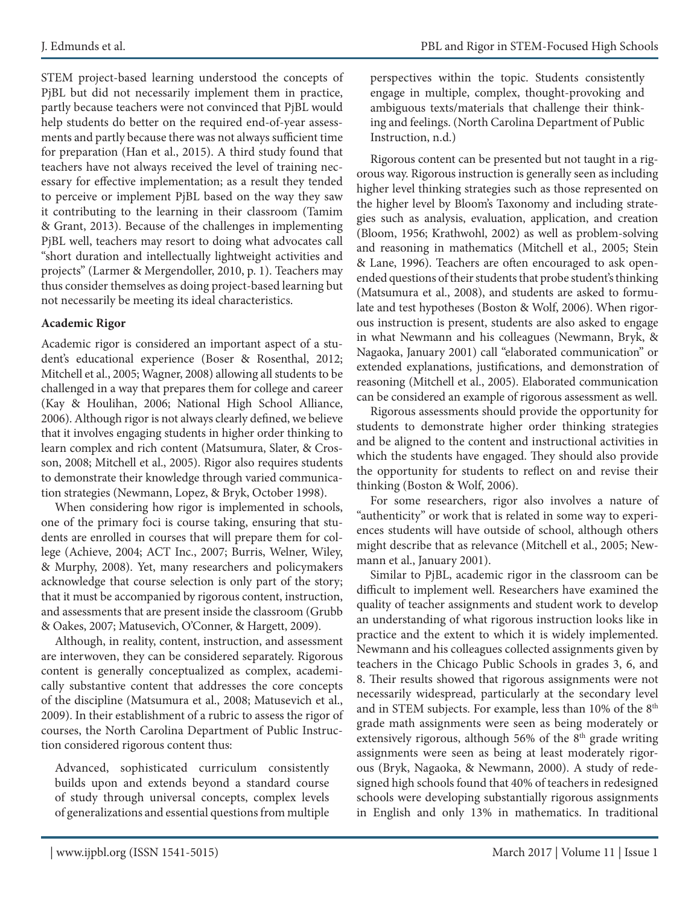STEM project-based learning understood the concepts of PjBL but did not necessarily implement them in practice, partly because teachers were not convinced that PjBL would help students do better on the required end-of-year assessments and partly because there was not always sufficient time for preparation (Han et al., 2015). A third study found that teachers have not always received the level of training necessary for effective implementation; as a result they tended to perceive or implement PjBL based on the way they saw it contributing to the learning in their classroom (Tamim & Grant, 2013). Because of the challenges in implementing PjBL well, teachers may resort to doing what advocates call "short duration and intellectually lightweight activities and projects" (Larmer & Mergendoller, 2010, p. 1). Teachers may thus consider themselves as doing project-based learning but not necessarily be meeting its ideal characteristics.

#### **Academic Rigor**

Academic rigor is considered an important aspect of a student's educational experience (Boser & Rosenthal, 2012; Mitchell et al., 2005; Wagner, 2008) allowing all students to be challenged in a way that prepares them for college and career (Kay & Houlihan, 2006; National High School Alliance, 2006). Although rigor is not always clearly defined, we believe that it involves engaging students in higher order thinking to learn complex and rich content (Matsumura, Slater, & Crosson, 2008; Mitchell et al., 2005). Rigor also requires students to demonstrate their knowledge through varied communication strategies (Newmann, Lopez, & Bryk, October 1998).

When considering how rigor is implemented in schools, one of the primary foci is course taking, ensuring that students are enrolled in courses that will prepare them for college (Achieve, 2004; ACT Inc., 2007; Burris, Welner, Wiley, & Murphy, 2008). Yet, many researchers and policymakers acknowledge that course selection is only part of the story; that it must be accompanied by rigorous content, instruction, and assessments that are present inside the classroom (Grubb & Oakes, 2007; Matusevich, O'Conner, & Hargett, 2009).

Although, in reality, content, instruction, and assessment are interwoven, they can be considered separately. Rigorous content is generally conceptualized as complex, academically substantive content that addresses the core concepts of the discipline (Matsumura et al., 2008; Matusevich et al., 2009). In their establishment of a rubric to assess the rigor of courses, the North Carolina Department of Public Instruction considered rigorous content thus:

Advanced, sophisticated curriculum consistently builds upon and extends beyond a standard course of study through universal concepts, complex levels of generalizations and essential questions from multiple perspectives within the topic. Students consistently engage in multiple, complex, thought-provoking and ambiguous texts/materials that challenge their thinking and feelings. (North Carolina Department of Public Instruction, n.d.)

Rigorous content can be presented but not taught in a rigorous way. Rigorous instruction is generally seen as including higher level thinking strategies such as those represented on the higher level by Bloom's Taxonomy and including strategies such as analysis, evaluation, application, and creation (Bloom, 1956; Krathwohl, 2002) as well as problem-solving and reasoning in mathematics (Mitchell et al., 2005; Stein & Lane, 1996). Teachers are often encouraged to ask openended questions of their students that probe student's thinking (Matsumura et al., 2008), and students are asked to formulate and test hypotheses (Boston & Wolf, 2006). When rigorous instruction is present, students are also asked to engage in what Newmann and his colleagues (Newmann, Bryk, & Nagaoka, January 2001) call "elaborated communication" or extended explanations, justifications, and demonstration of reasoning (Mitchell et al., 2005). Elaborated communication can be considered an example of rigorous assessment as well.

Rigorous assessments should provide the opportunity for students to demonstrate higher order thinking strategies and be aligned to the content and instructional activities in which the students have engaged. They should also provide the opportunity for students to reflect on and revise their thinking (Boston & Wolf, 2006).

For some researchers, rigor also involves a nature of "authenticity" or work that is related in some way to experiences students will have outside of school, although others might describe that as relevance (Mitchell et al., 2005; Newmann et al., January 2001).

Similar to PjBL, academic rigor in the classroom can be difficult to implement well. Researchers have examined the quality of teacher assignments and student work to develop an understanding of what rigorous instruction looks like in practice and the extent to which it is widely implemented. Newmann and his colleagues collected assignments given by teachers in the Chicago Public Schools in grades 3, 6, and 8. Their results showed that rigorous assignments were not necessarily widespread, particularly at the secondary level and in STEM subjects. For example, less than 10% of the 8<sup>th</sup> grade math assignments were seen as being moderately or extensively rigorous, although 56% of the  $8<sup>th</sup>$  grade writing assignments were seen as being at least moderately rigorous (Bryk, Nagaoka, & Newmann, 2000). A study of redesigned high schools found that 40% of teachers in redesigned schools were developing substantially rigorous assignments in English and only 13% in mathematics. In traditional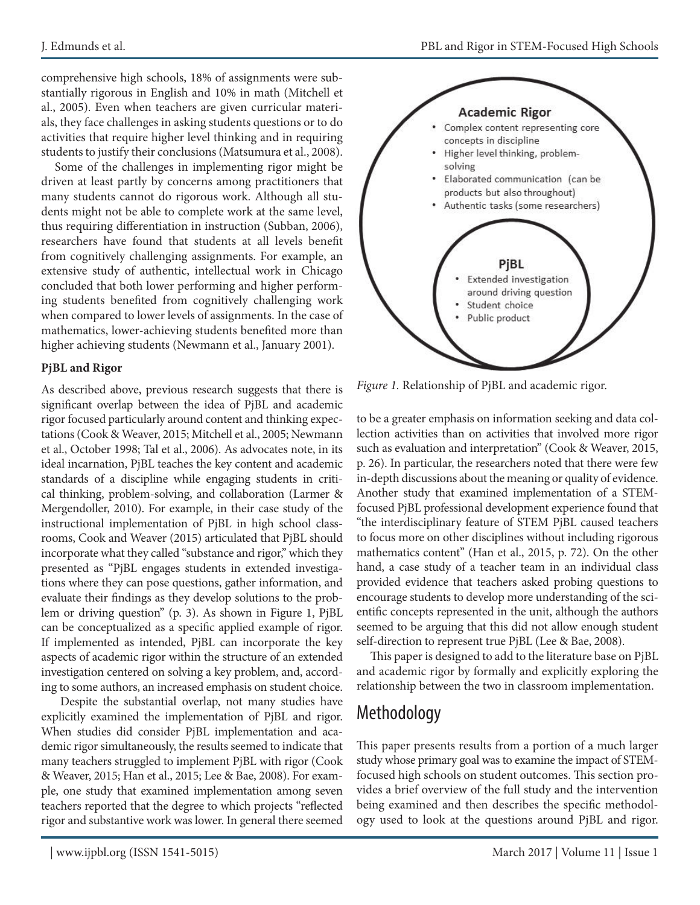comprehensive high schools, 18% of assignments were substantially rigorous in English and 10% in math (Mitchell et al., 2005). Even when teachers are given curricular materials, they face challenges in asking students questions or to do activities that require higher level thinking and in requiring students to justify their conclusions (Matsumura et al., 2008).

Some of the challenges in implementing rigor might be driven at least partly by concerns among practitioners that many students cannot do rigorous work. Although all students might not be able to complete work at the same level, thus requiring differentiation in instruction (Subban, 2006), researchers have found that students at all levels benefit from cognitively challenging assignments. For example, an extensive study of authentic, intellectual work in Chicago concluded that both lower performing and higher performing students benefited from cognitively challenging work when compared to lower levels of assignments. In the case of mathematics, lower-achieving students benefited more than higher achieving students (Newmann et al., January 2001).

#### **PjBL and Rigor**

As described above, previous research suggests that there is significant overlap between the idea of PjBL and academic rigor focused particularly around content and thinking expectations (Cook & Weaver, 2015; Mitchell et al., 2005; Newmann et al., October 1998; Tal et al., 2006). As advocates note, in its ideal incarnation, PjBL teaches the key content and academic standards of a discipline while engaging students in critical thinking, problem-solving, and collaboration (Larmer & Mergendoller, 2010). For example, in their case study of the instructional implementation of PjBL in high school classrooms, Cook and Weaver (2015) articulated that PjBL should incorporate what they called "substance and rigor," which they presented as "PjBL engages students in extended investigations where they can pose questions, gather information, and evaluate their findings as they develop solutions to the problem or driving question" (p. 3). As shown in Figure 1, PjBL can be conceptualized as a specific applied example of rigor. If implemented as intended, PjBL can incorporate the key aspects of academic rigor within the structure of an extended investigation centered on solving a key problem, and, according to some authors, an increased emphasis on student choice.

 Despite the substantial overlap, not many studies have explicitly examined the implementation of PjBL and rigor. When studies did consider PjBL implementation and academic rigor simultaneously, the results seemed to indicate that many teachers struggled to implement PjBL with rigor (Cook & Weaver, 2015; Han et al., 2015; Lee & Bae, 2008). For example, one study that examined implementation among seven teachers reported that the degree to which projects "reflected rigor and substantive work was lower. In general there seemed



*Figure 1.* Relationship of PjBL and academic rigor.

to be a greater emphasis on information seeking and data collection activities than on activities that involved more rigor such as evaluation and interpretation" (Cook & Weaver, 2015, p. 26). In particular, the researchers noted that there were few in-depth discussions about the meaning or quality of evidence. Another study that examined implementation of a STEMfocused PjBL professional development experience found that "the interdisciplinary feature of STEM PjBL caused teachers to focus more on other disciplines without including rigorous mathematics content" (Han et al., 2015, p. 72). On the other hand, a case study of a teacher team in an individual class provided evidence that teachers asked probing questions to encourage students to develop more understanding of the scientific concepts represented in the unit, although the authors seemed to be arguing that this did not allow enough student self-direction to represent true PjBL (Lee & Bae, 2008).

This paper is designed to add to the literature base on PjBL and academic rigor by formally and explicitly exploring the relationship between the two in classroom implementation.

### Methodology

This paper presents results from a portion of a much larger study whose primary goal was to examine the impact of STEMfocused high schools on student outcomes. This section provides a brief overview of the full study and the intervention being examined and then describes the specific methodology used to look at the questions around PjBL and rigor.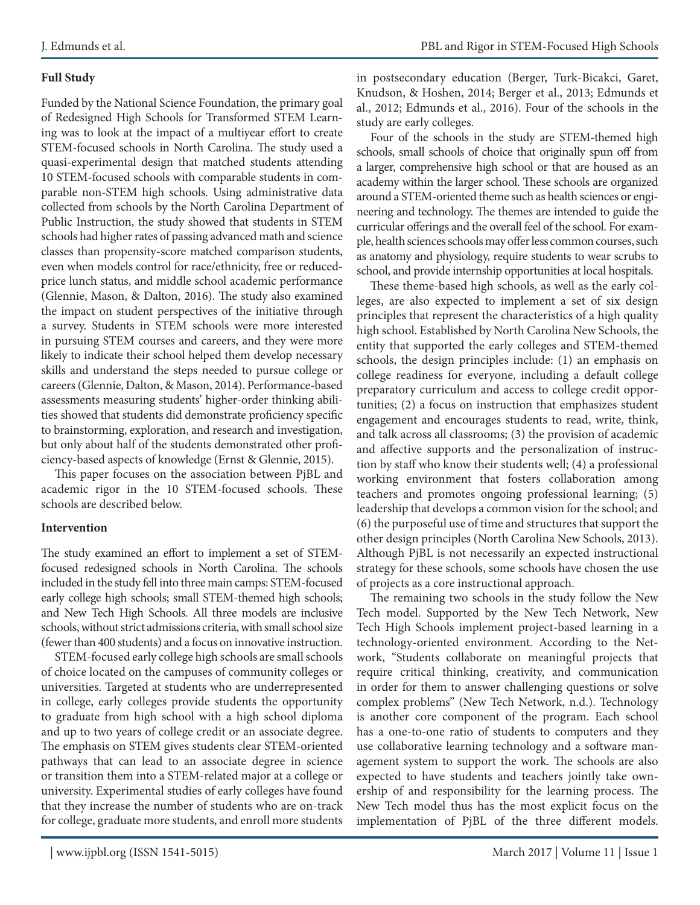#### **Full Study**

Funded by the National Science Foundation, the primary goal of Redesigned High Schools for Transformed STEM Learning was to look at the impact of a multiyear effort to create STEM-focused schools in North Carolina. The study used a quasi-experimental design that matched students attending 10 STEM-focused schools with comparable students in comparable non-STEM high schools. Using administrative data collected from schools by the North Carolina Department of Public Instruction, the study showed that students in STEM schools had higher rates of passing advanced math and science classes than propensity-score matched comparison students, even when models control for race/ethnicity, free or reducedprice lunch status, and middle school academic performance (Glennie, Mason, & Dalton, 2016). The study also examined the impact on student perspectives of the initiative through a survey. Students in STEM schools were more interested in pursuing STEM courses and careers, and they were more likely to indicate their school helped them develop necessary skills and understand the steps needed to pursue college or careers (Glennie, Dalton, & Mason, 2014). Performance-based assessments measuring students' higher-order thinking abilities showed that students did demonstrate proficiency specific to brainstorming, exploration, and research and investigation, but only about half of the students demonstrated other proficiency-based aspects of knowledge (Ernst & Glennie, 2015).

This paper focuses on the association between PjBL and academic rigor in the 10 STEM-focused schools. These schools are described below.

#### **Intervention**

The study examined an effort to implement a set of STEMfocused redesigned schools in North Carolina. The schools included in the study fell into three main camps: STEM-focused early college high schools; small STEM-themed high schools; and New Tech High Schools. All three models are inclusive schools, without strict admissions criteria, with small school size (fewer than 400 students) and a focus on innovative instruction.

STEM-focused early college high schools are small schools of choice located on the campuses of community colleges or universities. Targeted at students who are underrepresented in college, early colleges provide students the opportunity to graduate from high school with a high school diploma and up to two years of college credit or an associate degree. The emphasis on STEM gives students clear STEM-oriented pathways that can lead to an associate degree in science or transition them into a STEM-related major at a college or university. Experimental studies of early colleges have found that they increase the number of students who are on-track for college, graduate more students, and enroll more students in postsecondary education (Berger, Turk-Bicakci, Garet, Knudson, & Hoshen, 2014; Berger et al., 2013; Edmunds et al., 2012; Edmunds et al., 2016). Four of the schools in the study are early colleges.

Four of the schools in the study are STEM-themed high schools, small schools of choice that originally spun off from a larger, comprehensive high school or that are housed as an academy within the larger school. These schools are organized around a STEM-oriented theme such as health sciences or engineering and technology. The themes are intended to guide the curricular offerings and the overall feel of the school. For example, health sciences schools may offer less common courses, such as anatomy and physiology, require students to wear scrubs to school, and provide internship opportunities at local hospitals.

These theme-based high schools, as well as the early colleges, are also expected to implement a set of six design principles that represent the characteristics of a high quality high school. Established by North Carolina New Schools, the entity that supported the early colleges and STEM-themed schools, the design principles include: (1) an emphasis on college readiness for everyone, including a default college preparatory curriculum and access to college credit opportunities; (2) a focus on instruction that emphasizes student engagement and encourages students to read, write, think, and talk across all classrooms; (3) the provision of academic and affective supports and the personalization of instruction by staff who know their students well; (4) a professional working environment that fosters collaboration among teachers and promotes ongoing professional learning; (5) leadership that develops a common vision for the school; and (6) the purposeful use of time and structures that support the other design principles (North Carolina New Schools, 2013). Although PjBL is not necessarily an expected instructional strategy for these schools, some schools have chosen the use of projects as a core instructional approach.

The remaining two schools in the study follow the New Tech model. Supported by the New Tech Network, New Tech High Schools implement project-based learning in a technology-oriented environment. According to the Network, "Students collaborate on meaningful projects that require critical thinking, creativity, and communication in order for them to answer challenging questions or solve complex problems" (New Tech Network, n.d.). Technology is another core component of the program. Each school has a one-to-one ratio of students to computers and they use collaborative learning technology and a software management system to support the work. The schools are also expected to have students and teachers jointly take ownership of and responsibility for the learning process. The New Tech model thus has the most explicit focus on the implementation of PjBL of the three different models.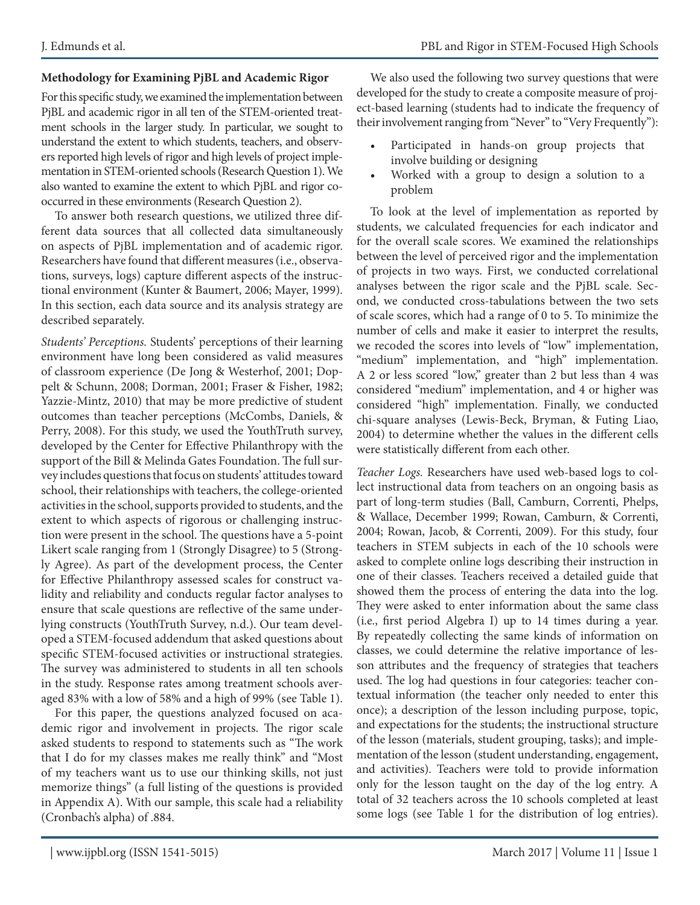#### **Methodology for Examining PjBL and Academic Rigor**

For this specific study, we examined the implementation between PjBL and academic rigor in all ten of the STEM-oriented treatment schools in the larger study. In particular, we sought to understand the extent to which students, teachers, and observers reported high levels of rigor and high levels of project implementation in STEM-oriented schools (Research Question 1). We also wanted to examine the extent to which PjBL and rigor cooccurred in these environments (Research Question 2).

To answer both research questions, we utilized three different data sources that all collected data simultaneously on aspects of PjBL implementation and of academic rigor. Researchers have found that different measures (i.e., observations, surveys, logs) capture different aspects of the instructional environment (Kunter & Baumert, 2006; Mayer, 1999). In this section, each data source and its analysis strategy are described separately.

*Students' Perceptions.* Students' perceptions of their learning environment have long been considered as valid measures of classroom experience (De Jong & Westerhof, 2001; Doppelt & Schunn, 2008; Dorman, 2001; Fraser & Fisher, 1982; Yazzie-Mintz, 2010) that may be more predictive of student outcomes than teacher perceptions (McCombs, Daniels, & Perry, 2008). For this study, we used the YouthTruth survey, developed by the Center for Effective Philanthropy with the support of the Bill & Melinda Gates Foundation. The full survey includes questions that focus on students' attitudes toward school, their relationships with teachers, the college-oriented activities in the school, supports provided to students, and the extent to which aspects of rigorous or challenging instruction were present in the school. The questions have a 5-point Likert scale ranging from 1 (Strongly Disagree) to 5 (Strongly Agree). As part of the development process, the Center for Effective Philanthropy assessed scales for construct validity and reliability and conducts regular factor analyses to ensure that scale questions are reflective of the same underlying constructs (YouthTruth Survey, n.d.). Our team developed a STEM-focused addendum that asked questions about specific STEM-focused activities or instructional strategies. The survey was administered to students in all ten schools in the study. Response rates among treatment schools averaged 83% with a low of 58% and a high of 99% (see Table 1).

For this paper, the questions analyzed focused on academic rigor and involvement in projects. The rigor scale asked students to respond to statements such as "The work that I do for my classes makes me really think" and "Most of my teachers want us to use our thinking skills, not just memorize things" (a full listing of the questions is provided in Appendix A). With our sample, this scale had a reliability (Cronbach's alpha) of .884.

We also used the following two survey questions that were developed for the study to create a composite measure of project-based learning (students had to indicate the frequency of their involvement ranging from "Never" to "Very Frequently"):

- Participated in hands-on group projects that involve building or designing
- Worked with a group to design a solution to a problem

To look at the level of implementation as reported by students, we calculated frequencies for each indicator and for the overall scale scores. We examined the relationships between the level of perceived rigor and the implementation of projects in two ways. First, we conducted correlational analyses between the rigor scale and the PjBL scale. Second, we conducted cross-tabulations between the two sets of scale scores, which had a range of 0 to 5. To minimize the number of cells and make it easier to interpret the results, we recoded the scores into levels of "low" implementation, "medium" implementation, and "high" implementation. A 2 or less scored "low," greater than 2 but less than 4 was considered "medium" implementation, and 4 or higher was considered "high" implementation. Finally, we conducted chi-square analyses (Lewis-Beck, Bryman, & Futing Liao, 2004) to determine whether the values in the different cells were statistically different from each other.

*Teacher Logs.* Researchers have used web-based logs to collect instructional data from teachers on an ongoing basis as part of long-term studies (Ball, Camburn, Correnti, Phelps, & Wallace, December 1999; Rowan, Camburn, & Correnti, 2004; Rowan, Jacob, & Correnti, 2009). For this study, four teachers in STEM subjects in each of the 10 schools were asked to complete online logs describing their instruction in one of their classes. Teachers received a detailed guide that showed them the process of entering the data into the log. They were asked to enter information about the same class (i.e., first period Algebra I) up to 14 times during a year. By repeatedly collecting the same kinds of information on classes, we could determine the relative importance of lesson attributes and the frequency of strategies that teachers used. The log had questions in four categories: teacher contextual information (the teacher only needed to enter this once); a description of the lesson including purpose, topic, and expectations for the students; the instructional structure of the lesson (materials, student grouping, tasks); and implementation of the lesson (student understanding, engagement, and activities). Teachers were told to provide information only for the lesson taught on the day of the log entry. A total of 32 teachers across the 10 schools completed at least some logs (see Table 1 for the distribution of log entries).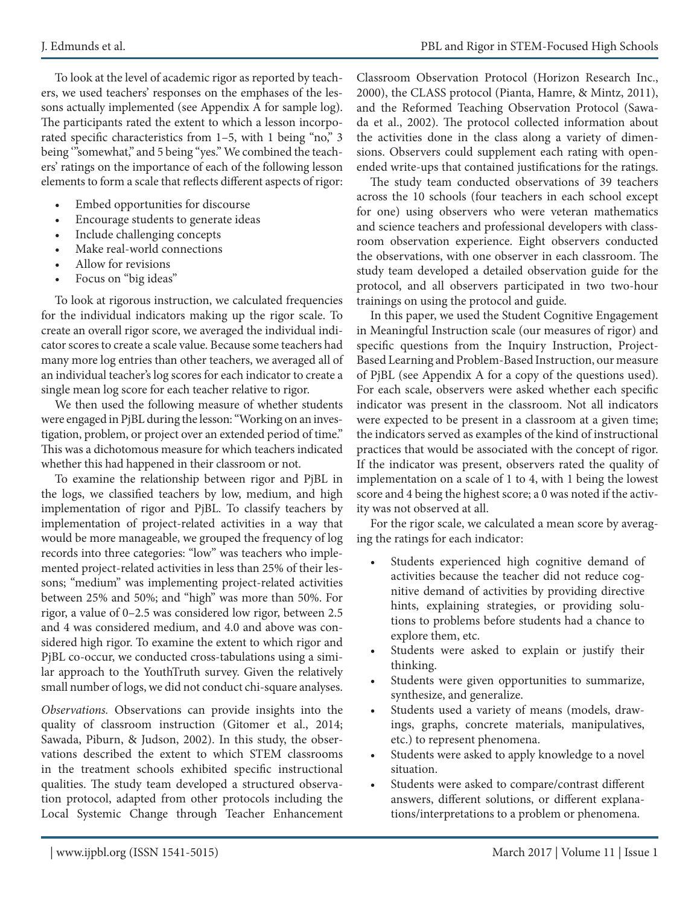To look at the level of academic rigor as reported by teachers, we used teachers' responses on the emphases of the lessons actually implemented (see Appendix A for sample log). The participants rated the extent to which a lesson incorporated specific characteristics from 1–5, with 1 being "no," 3 being '"somewhat," and 5 being "yes." We combined the teachers' ratings on the importance of each of the following lesson elements to form a scale that reflects different aspects of rigor:

- Embed opportunities for discourse
- Encourage students to generate ideas
- Include challenging concepts
- Make real-world connections
- Allow for revisions
- Focus on "big ideas"

To look at rigorous instruction, we calculated frequencies for the individual indicators making up the rigor scale. To create an overall rigor score, we averaged the individual indicator scores to create a scale value. Because some teachers had many more log entries than other teachers, we averaged all of an individual teacher's log scores for each indicator to create a single mean log score for each teacher relative to rigor.

We then used the following measure of whether students were engaged in PjBL during the lesson: "Working on an investigation, problem, or project over an extended period of time." This was a dichotomous measure for which teachers indicated whether this had happened in their classroom or not.

To examine the relationship between rigor and PjBL in the logs, we classified teachers by low, medium, and high implementation of rigor and PjBL. To classify teachers by implementation of project-related activities in a way that would be more manageable, we grouped the frequency of log records into three categories: "low" was teachers who implemented project-related activities in less than 25% of their lessons; "medium" was implementing project-related activities between 25% and 50%; and "high" was more than 50%. For rigor, a value of 0–2.5 was considered low rigor, between 2.5 and 4 was considered medium, and 4.0 and above was considered high rigor. To examine the extent to which rigor and PjBL co-occur, we conducted cross-tabulations using a similar approach to the YouthTruth survey. Given the relatively small number of logs, we did not conduct chi-square analyses.

*Observations.* Observations can provide insights into the quality of classroom instruction (Gitomer et al., 2014; Sawada, Piburn, & Judson, 2002). In this study, the observations described the extent to which STEM classrooms in the treatment schools exhibited specific instructional qualities. The study team developed a structured observation protocol, adapted from other protocols including the Local Systemic Change through Teacher Enhancement Classroom Observation Protocol (Horizon Research Inc., 2000), the CLASS protocol (Pianta, Hamre, & Mintz, 2011), and the Reformed Teaching Observation Protocol (Sawada et al., 2002). The protocol collected information about the activities done in the class along a variety of dimensions. Observers could supplement each rating with openended write-ups that contained justifications for the ratings.

The study team conducted observations of 39 teachers across the 10 schools (four teachers in each school except for one) using observers who were veteran mathematics and science teachers and professional developers with classroom observation experience. Eight observers conducted the observations, with one observer in each classroom. The study team developed a detailed observation guide for the protocol, and all observers participated in two two-hour trainings on using the protocol and guide.

In this paper, we used the Student Cognitive Engagement in Meaningful Instruction scale (our measures of rigor) and specific questions from the Inquiry Instruction, Project-Based Learning and Problem-Based Instruction, our measure of PjBL (see Appendix A for a copy of the questions used). For each scale, observers were asked whether each specific indicator was present in the classroom. Not all indicators were expected to be present in a classroom at a given time; the indicators served as examples of the kind of instructional practices that would be associated with the concept of rigor. If the indicator was present, observers rated the quality of implementation on a scale of 1 to 4, with 1 being the lowest score and 4 being the highest score; a 0 was noted if the activity was not observed at all.

For the rigor scale, we calculated a mean score by averaging the ratings for each indicator:

- Students experienced high cognitive demand of activities because the teacher did not reduce cognitive demand of activities by providing directive hints, explaining strategies, or providing solutions to problems before students had a chance to explore them, etc.
- Students were asked to explain or justify their thinking.
- Students were given opportunities to summarize, synthesize, and generalize.
- • Students used a variety of means (models, drawings, graphs, concrete materials, manipulatives, etc.) to represent phenomena.
- • Students were asked to apply knowledge to a novel situation.
- Students were asked to compare/contrast different answers, different solutions, or different explanations/interpretations to a problem or phenomena.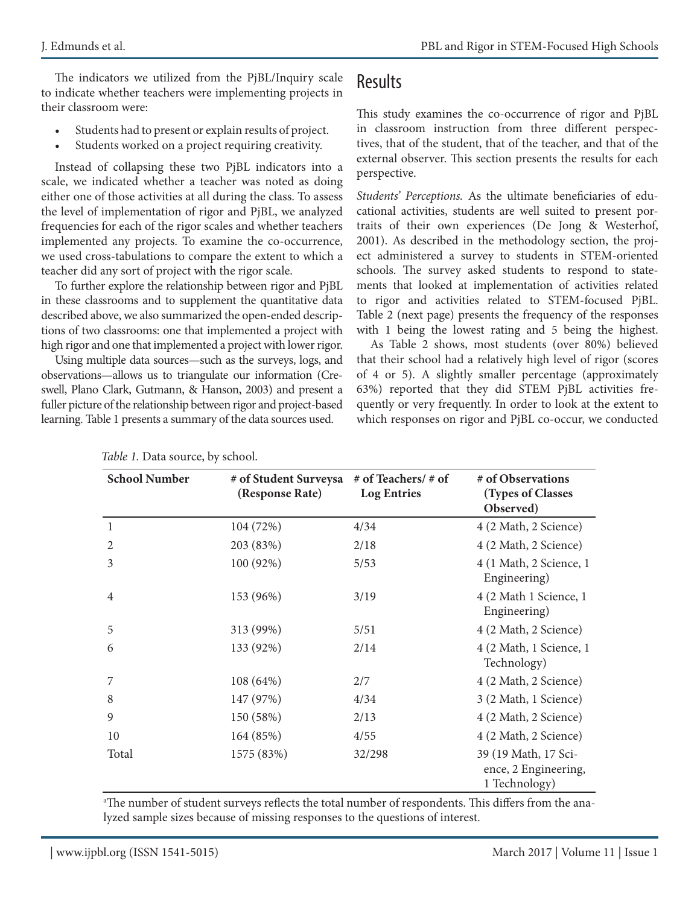The indicators we utilized from the PjBL/Inquiry scale to indicate whether teachers were implementing projects in their classroom were:

- Students had to present or explain results of project.
- Students worked on a project requiring creativity.

Instead of collapsing these two PjBL indicators into a scale, we indicated whether a teacher was noted as doing either one of those activities at all during the class. To assess the level of implementation of rigor and PjBL, we analyzed frequencies for each of the rigor scales and whether teachers implemented any projects. To examine the co-occurrence, we used cross-tabulations to compare the extent to which a teacher did any sort of project with the rigor scale.

To further explore the relationship between rigor and PjBL in these classrooms and to supplement the quantitative data described above, we also summarized the open-ended descriptions of two classrooms: one that implemented a project with high rigor and one that implemented a project with lower rigor.

Using multiple data sources—such as the surveys, logs, and observations—allows us to triangulate our information (Creswell, Plano Clark, Gutmann, & Hanson, 2003) and present a fuller picture of the relationship between rigor and project-based learning. Table 1 presents a summary of the data sources used.

### Results

This study examines the co-occurrence of rigor and PjBL in classroom instruction from three different perspectives, that of the student, that of the teacher, and that of the external observer. This section presents the results for each perspective.

*Students' Perceptions.* As the ultimate beneficiaries of educational activities, students are well suited to present portraits of their own experiences (De Jong & Westerhof, 2001). As described in the methodology section, the project administered a survey to students in STEM-oriented schools. The survey asked students to respond to statements that looked at implementation of activities related to rigor and activities related to STEM-focused PjBL. Table 2 (next page) presents the frequency of the responses with 1 being the lowest rating and 5 being the highest.

As Table 2 shows, most students (over 80%) believed that their school had a relatively high level of rigor (scores of 4 or 5). A slightly smaller percentage (approximately 63%) reported that they did STEM PjBL activities frequently or very frequently. In order to look at the extent to which responses on rigor and PjBL co-occur, we conducted

| <b>School Number</b> | # of Student Surveysa<br>(Response Rate) | # of Teachers/ # of<br><b>Log Entries</b> | # of Observations<br>(Types of Classes<br>Observed)           |
|----------------------|------------------------------------------|-------------------------------------------|---------------------------------------------------------------|
| 1                    | 104 (72%)                                | 4/34                                      | 4 (2 Math, 2 Science)                                         |
| 2                    | 203 (83%)                                | 2/18                                      | 4 (2 Math, 2 Science)                                         |
| 3                    | 100 (92%)                                | 5/53                                      | 4 (1 Math, 2 Science, 1<br>Engineering)                       |
| $\overline{4}$       | 153 (96%)                                | 3/19                                      | 4 (2 Math 1 Science, 1<br>Engineering)                        |
| 5                    | 313 (99%)                                | 5/51                                      | 4 (2 Math, 2 Science)                                         |
| 6                    | 133 (92%)                                | 2/14                                      | 4 (2 Math, 1 Science, 1<br>Technology)                        |
| 7                    | 108 (64%)                                | 2/7                                       | 4 (2 Math, 2 Science)                                         |
| 8                    | 147 (97%)                                | 4/34                                      | 3 (2 Math, 1 Science)                                         |
| 9                    | 150 (58%)                                | 2/13                                      | 4 (2 Math, 2 Science)                                         |
| 10                   | 164 (85%)                                | 4/55                                      | 4 (2 Math, 2 Science)                                         |
| Total                | 1575 (83%)                               | 32/298                                    | 39 (19 Math, 17 Sci-<br>ence, 2 Engineering,<br>1 Technology) |

*Table 1.* Data source, by school.

a The number of student surveys reflects the total number of respondents. This differs from the analyzed sample sizes because of missing responses to the questions of interest.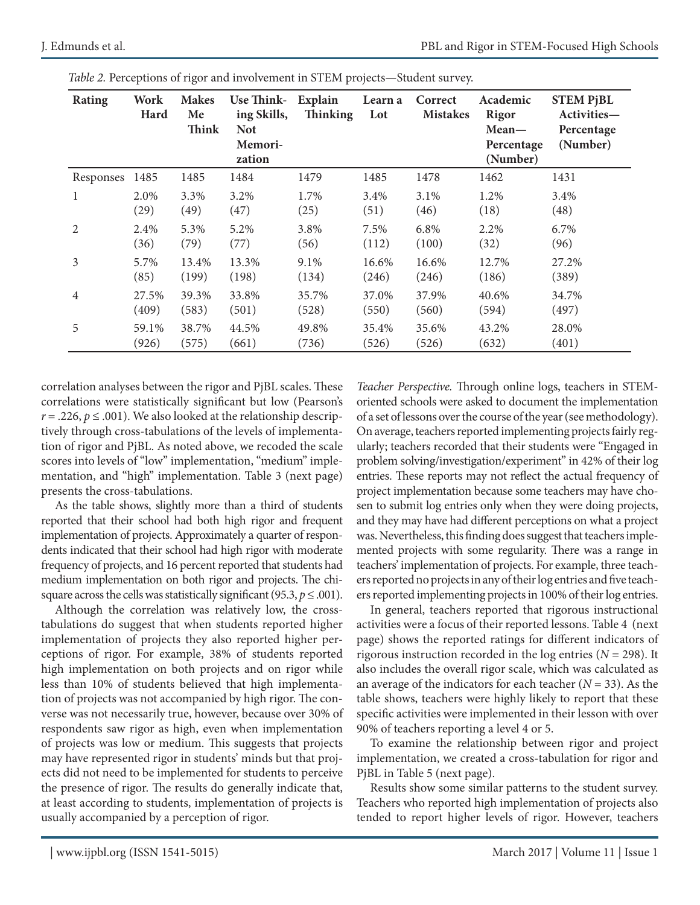| <b>Rating</b>  | Work<br>Hard | <b>Makes</b><br>Me<br><b>Think</b> | Use Think- Explain<br>ing Skills,<br><b>Not</b> | <b>Thinking</b> | Learn a<br>Lot | Correct<br><b>Mistakes</b> | Academic<br>Rigor<br>$Mean-$ | <b>STEM PjBL</b><br>Activities- |
|----------------|--------------|------------------------------------|-------------------------------------------------|-----------------|----------------|----------------------------|------------------------------|---------------------------------|
|                |              |                                    | Memori-<br>zation                               |                 |                |                            | Percentage<br>(Number)       | Percentage<br>(Number)          |
| Responses      | 1485         | 1485                               | 1484                                            | 1479            | 1485           | 1478                       | 1462                         | 1431                            |
| 1              | 2.0%         | 3.3%                               | 3.2%                                            | 1.7%            | 3.4%           | 3.1%                       | 1.2%                         | 3.4%                            |
|                | (29)         | (49)                               | (47)                                            | (25)            | (51)           | (46)                       | (18)                         | (48)                            |
| $\overline{2}$ | 2.4%         | 5.3%                               | 5.2%                                            | 3.8%            | 7.5%           | 6.8%                       | 2.2%                         | 6.7%                            |
|                | (36)         | (79)                               | (77)                                            | (56)            | (112)          | (100)                      | (32)                         | (96)                            |
| 3              | 5.7%         | 13.4%                              | 13.3%                                           | 9.1%            | 16.6%          | 16.6%                      | 12.7%                        | 27.2%                           |
|                | (85)         | (199)                              | (198)                                           | (134)           | (246)          | (246)                      | (186)                        | (389)                           |
| $\overline{4}$ | 27.5%        | 39.3%                              | 33.8%                                           | 35.7%           | 37.0%          | 37.9%                      | 40.6%                        | 34.7%                           |
|                | (409)        | (583)                              | (501)                                           | (528)           | (550)          | (560)                      | (594)                        | (497)                           |
| 5              | 59.1%        | 38.7%                              | 44.5%                                           | 49.8%           | 35.4%          | 35.6%                      | 43.2%                        | 28.0%                           |
|                | (926)        | (575)                              | (661)                                           | (736)           | (526)          | (526)                      | (632)                        | (401)                           |

*Table 2.* Perceptions of rigor and involvement in STEM projects—Student survey.

correlation analyses between the rigor and PjBL scales. These correlations were statistically significant but low (Pearson's  $r = .226$ ,  $p \le .001$ ). We also looked at the relationship descriptively through cross-tabulations of the levels of implementation of rigor and PjBL. As noted above, we recoded the scale scores into levels of "low" implementation, "medium" implementation, and "high" implementation. Table 3 (next page) presents the cross-tabulations.

As the table shows, slightly more than a third of students reported that their school had both high rigor and frequent implementation of projects. Approximately a quarter of respondents indicated that their school had high rigor with moderate frequency of projects, and 16 percent reported that students had medium implementation on both rigor and projects. The chisquare across the cells was statistically significant (95.3,  $p \leq .001$ ).

Although the correlation was relatively low, the crosstabulations do suggest that when students reported higher implementation of projects they also reported higher perceptions of rigor. For example, 38% of students reported high implementation on both projects and on rigor while less than 10% of students believed that high implementation of projects was not accompanied by high rigor. The converse was not necessarily true, however, because over 30% of respondents saw rigor as high, even when implementation of projects was low or medium. This suggests that projects may have represented rigor in students' minds but that projects did not need to be implemented for students to perceive the presence of rigor. The results do generally indicate that, at least according to students, implementation of projects is usually accompanied by a perception of rigor.

*Teacher Perspective.* Through online logs, teachers in STEMoriented schools were asked to document the implementation of a set of lessons over the course of the year (see methodology). On average, teachers reported implementing projects fairly regularly; teachers recorded that their students were "Engaged in problem solving/investigation/experiment" in 42% of their log entries. These reports may not reflect the actual frequency of project implementation because some teachers may have chosen to submit log entries only when they were doing projects, and they may have had different perceptions on what a project was. Nevertheless, this finding does suggest that teachers implemented projects with some regularity. There was a range in teachers' implementation of projects. For example, three teachers reported no projects in any of their log entries and five teachers reported implementing projects in 100% of their log entries.

In general, teachers reported that rigorous instructional activities were a focus of their reported lessons. Table 4 (next page) shows the reported ratings for different indicators of rigorous instruction recorded in the log entries (*N* = 298). It also includes the overall rigor scale, which was calculated as an average of the indicators for each teacher  $(N = 33)$ . As the table shows, teachers were highly likely to report that these specific activities were implemented in their lesson with over 90% of teachers reporting a level 4 or 5.

To examine the relationship between rigor and project implementation, we created a cross-tabulation for rigor and PjBL in Table 5 (next page).

Results show some similar patterns to the student survey. Teachers who reported high implementation of projects also tended to report higher levels of rigor. However, teachers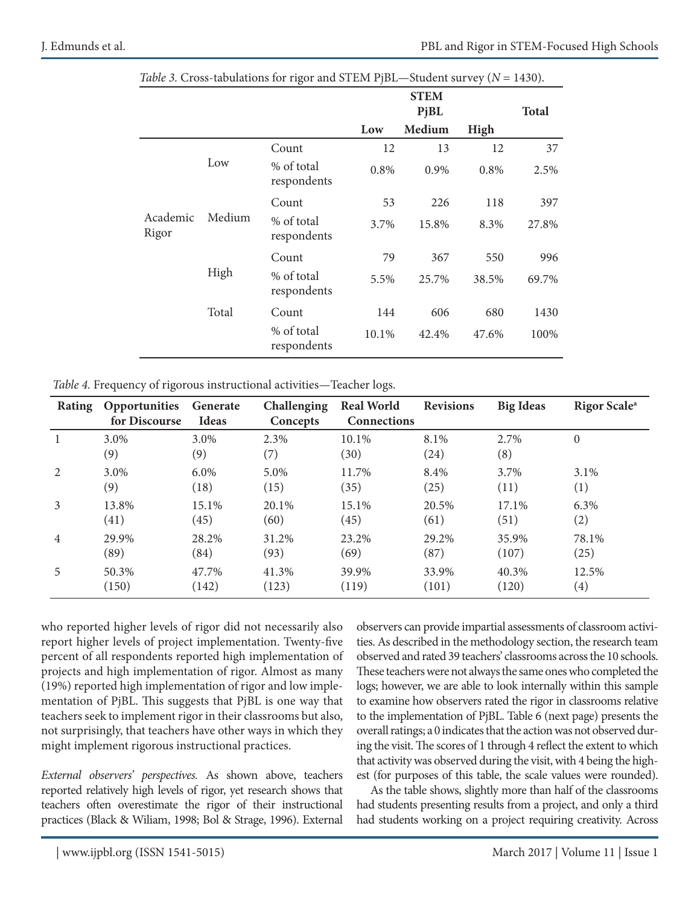|                   |        |                           |         |        | <b>Total</b> |       |
|-------------------|--------|---------------------------|---------|--------|--------------|-------|
|                   |        |                           | Low     | Medium | High         |       |
| Academic<br>Rigor |        | Count                     | 12      | 13     | 12           | 37    |
|                   | Low    | % of total<br>respondents | $0.8\%$ | 0.9%   | 0.8%         | 2.5%  |
|                   | Medium | Count                     | 53      | 226    | 118          | 397   |
|                   |        | % of total<br>respondents | 3.7%    | 15.8%  | 8.3%         | 27.8% |
|                   |        | Count                     | 79      | 367    | 550          | 996   |
|                   | High   | % of total<br>respondents | 5.5%    | 25.7%  | 38.5%        | 69.7% |
|                   | Total  | Count                     | 144     | 606    | 680          | 1430  |
|                   |        | % of total<br>respondents | 10.1%   | 42.4%  | 47.6%        | 100%  |

| Table 3. Cross-tabulations for rigor and STEM PjBL-Student survey ( $N = 1430$ ). |  |  |  |
|-----------------------------------------------------------------------------------|--|--|--|
|-----------------------------------------------------------------------------------|--|--|--|

*Table 4.* Frequency of rigorous instructional activities—Teacher logs.

| <b>Rating</b>  | Opportunities<br>for Discourse | Generate<br><b>Ideas</b> | Challenging<br>Concepts | <b>Real World</b><br><b>Connections</b> | <b>Revisions</b> | <b>Big Ideas</b> | Rigor Scale <sup>a</sup> |
|----------------|--------------------------------|--------------------------|-------------------------|-----------------------------------------|------------------|------------------|--------------------------|
|                | 3.0%<br>(9)                    | 3.0%<br>(9)              | 2.3%<br>(7)             | 10.1%<br>(30)                           | 8.1%<br>(24)     | 2.7%<br>(8)      | $\Omega$                 |
| 2              | 3.0%                           | 6.0%                     | 5.0%                    | 11.7%                                   | 8.4%             | 3.7%             | 3.1%                     |
|                | (9)                            | (18)                     | (15)                    | (35)                                    | (25)             | (11)             | (1)                      |
| 3              | 13.8%                          | 15.1%                    | 20.1%                   | 15.1%                                   | 20.5%            | 17.1%            | 6.3%                     |
|                | (41)                           | (45)                     | (60)                    | (45)                                    | (61)             | (51)             | (2)                      |
| $\overline{4}$ | 29.9%                          | 28.2%                    | 31.2%                   | 23.2%                                   | 29.2%            | 35.9%            | 78.1%                    |
|                | (89)                           | (84)                     | (93)                    | (69)                                    | (87)             | (107)            | (25)                     |
| 5              | 50.3%                          | 47.7%                    | 41.3%                   | 39.9%                                   | 33.9%            | 40.3%            | 12.5%                    |
|                | (150)                          | (142)                    | (123)                   | (119)                                   | (101)            | (120)            | $\left( 4\right)$        |

who reported higher levels of rigor did not necessarily also report higher levels of project implementation. Twenty-five percent of all respondents reported high implementation of projects and high implementation of rigor. Almost as many (19%) reported high implementation of rigor and low implementation of PjBL. This suggests that PjBL is one way that teachers seek to implement rigor in their classrooms but also, not surprisingly, that teachers have other ways in which they might implement rigorous instructional practices.

*External observers' perspectives.* As shown above, teachers reported relatively high levels of rigor, yet research shows that teachers often overestimate the rigor of their instructional practices (Black & Wiliam, 1998; Bol & Strage, 1996). External observers can provide impartial assessments of classroom activities. As described in the methodology section, the research team observed and rated 39 teachers' classrooms across the 10 schools. These teachers were not always the same ones who completed the logs; however, we are able to look internally within this sample to examine how observers rated the rigor in classrooms relative to the implementation of PjBL. Table 6 (next page) presents the overall ratings; a 0 indicates that the action was not observed during the visit. The scores of 1 through 4 reflect the extent to which that activity was observed during the visit, with 4 being the highest (for purposes of this table, the scale values were rounded).

As the table shows, slightly more than half of the classrooms had students presenting results from a project, and only a third had students working on a project requiring creativity. Across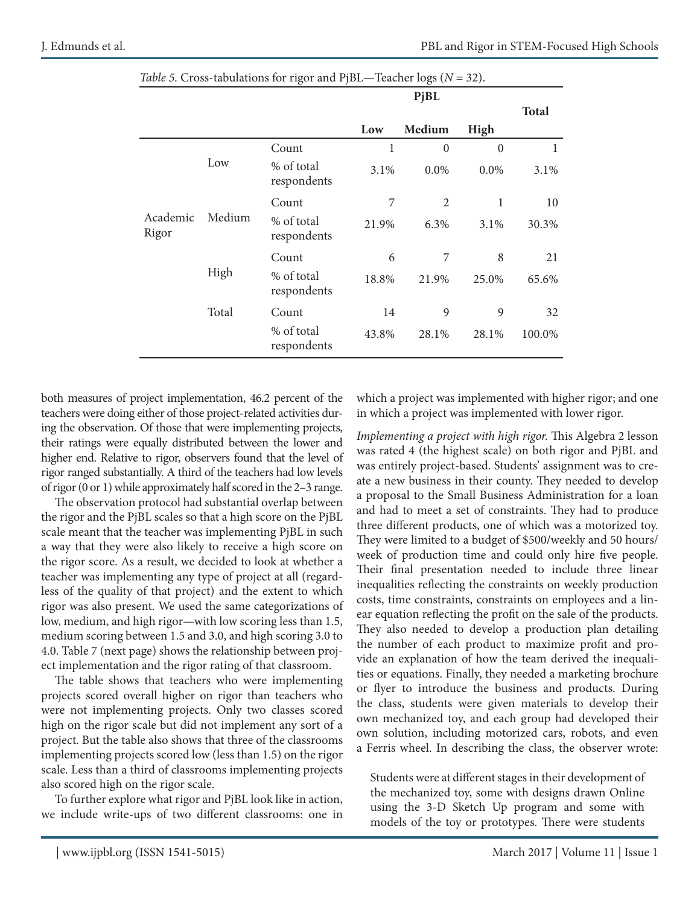|                   |        |                           |       | PjBL           |                |              |
|-------------------|--------|---------------------------|-------|----------------|----------------|--------------|
|                   |        |                           |       |                |                | <b>Total</b> |
|                   |        |                           | Low   | Medium         | High           |              |
|                   |        | Count                     | 1     | $\overline{0}$ | $\overline{0}$ | 1            |
|                   | Low    | % of total<br>respondents | 3.1%  | 0.0%           | 0.0%           | 3.1%         |
| Academic<br>Rigor |        | Count                     | 7     | $\overline{2}$ | 1              | 10           |
|                   | Medium | % of total<br>respondents | 21.9% | 6.3%           | 3.1%           | 30.3%        |
|                   |        | Count                     | 6     | 7              | 8              | 21           |
|                   | High   | % of total<br>respondents | 18.8% | 21.9%          | 25.0%          | 65.6%        |
|                   | Total  | Count                     | 14    | 9              | 9              | 32           |
|                   |        | % of total<br>respondents | 43.8% | 28.1%          | 28.1%          | 100.0%       |

*Table 5.* Cross-tabulations for rigor and PjBL—Teacher logs (*N* = 32).

both measures of project implementation, 46.2 percent of the teachers were doing either of those project-related activities during the observation. Of those that were implementing projects, their ratings were equally distributed between the lower and higher end. Relative to rigor, observers found that the level of rigor ranged substantially. A third of the teachers had low levels of rigor (0 or 1) while approximately half scored in the 2–3 range.

The observation protocol had substantial overlap between the rigor and the PjBL scales so that a high score on the PjBL scale meant that the teacher was implementing PjBL in such a way that they were also likely to receive a high score on the rigor score. As a result, we decided to look at whether a teacher was implementing any type of project at all (regardless of the quality of that project) and the extent to which rigor was also present. We used the same categorizations of low, medium, and high rigor—with low scoring less than 1.5, medium scoring between 1.5 and 3.0, and high scoring 3.0 to 4.0. Table 7 (next page) shows the relationship between project implementation and the rigor rating of that classroom.

The table shows that teachers who were implementing projects scored overall higher on rigor than teachers who were not implementing projects. Only two classes scored high on the rigor scale but did not implement any sort of a project. But the table also shows that three of the classrooms implementing projects scored low (less than 1.5) on the rigor scale. Less than a third of classrooms implementing projects also scored high on the rigor scale.

To further explore what rigor and PjBL look like in action, we include write-ups of two different classrooms: one in which a project was implemented with higher rigor; and one in which a project was implemented with lower rigor.

*Implementing a project with high rigor.* This Algebra 2 lesson was rated 4 (the highest scale) on both rigor and PjBL and was entirely project-based. Students' assignment was to create a new business in their county. They needed to develop a proposal to the Small Business Administration for a loan and had to meet a set of constraints. They had to produce three different products, one of which was a motorized toy. They were limited to a budget of \$500/weekly and 50 hours/ week of production time and could only hire five people. Their final presentation needed to include three linear inequalities reflecting the constraints on weekly production costs, time constraints, constraints on employees and a linear equation reflecting the profit on the sale of the products. They also needed to develop a production plan detailing the number of each product to maximize profit and provide an explanation of how the team derived the inequalities or equations. Finally, they needed a marketing brochure or flyer to introduce the business and products. During the class, students were given materials to develop their own mechanized toy, and each group had developed their own solution, including motorized cars, robots, and even a Ferris wheel. In describing the class, the observer wrote:

Students were at different stages in their development of the mechanized toy, some with designs drawn Online using the 3-D Sketch Up program and some with models of the toy or prototypes. There were students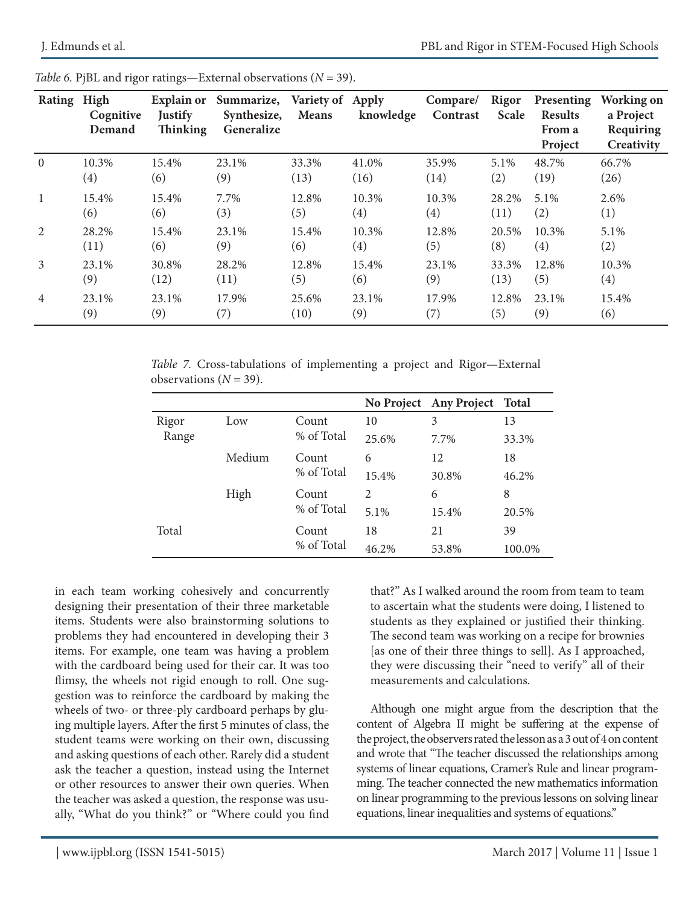| Rating         | High<br>Cognitive<br>Demand | <b>Explain or</b><br><b>Justify</b><br><b>Thinking</b> | Summarize,<br>Synthesize,<br>Generalize | Variety of Apply<br><b>Means</b> | knowledge | Compare/<br>Contrast | Rigor<br><b>Scale</b> | Presenting<br><b>Results</b><br>From a<br>Project | Working on<br>a Project<br>Requiring<br>Creativity |
|----------------|-----------------------------|--------------------------------------------------------|-----------------------------------------|----------------------------------|-----------|----------------------|-----------------------|---------------------------------------------------|----------------------------------------------------|
| $\theta$       | 10.3%                       | 15.4%                                                  | 23.1%                                   | 33.3%                            | 41.0%     | 35.9%                | 5.1%                  | 48.7%                                             | 66.7%                                              |
|                | (4)                         | (6)                                                    | (9)                                     | (13)                             | (16)      | (14)                 | (2)                   | (19)                                              | (26)                                               |
| -1             | 15.4%                       | 15.4%                                                  | 7.7%                                    | 12.8%                            | 10.3%     | 10.3%                | 28.2%                 | 5.1%                                              | 2.6%                                               |
|                | (6)                         | (6)                                                    | (3)                                     | (5)                              | (4)       | (4)                  | (11)                  | (2)                                               | (1)                                                |
| $\overline{2}$ | 28.2%                       | 15.4%                                                  | 23.1%                                   | 15.4%                            | 10.3%     | 12.8%                | 20.5%                 | 10.3%                                             | 5.1%                                               |
|                | (11)                        | (6)                                                    | (9)                                     | (6)                              | (4)       | (5)                  | (8)                   | (4)                                               | (2)                                                |
| 3              | 23.1%                       | 30.8%                                                  | 28.2%                                   | 12.8%                            | 15.4%     | 23.1%                | 33.3%                 | 12.8%                                             | 10.3%                                              |
|                | (9)                         | (12)                                                   | (11)                                    | (5)                              | (6)       | (9)                  | (13)                  | (5)                                               | (4)                                                |
| $\overline{4}$ | 23.1%                       | 23.1%                                                  | 17.9%                                   | 25.6%                            | 23.1%     | 17.9%                | 12.8%                 | 23.1%                                             | 15.4%                                              |
|                | (9)                         | (9)                                                    | (7)                                     | (10)                             | (9)       | (7)                  | (5)                   | (9)                                               | (6)                                                |

*Table 6. PjBL and rigor ratings—External observations*  $(N = 39)$ *.* 

*Table 7.* Cross-tabulations of implementing a project and Rigor—External observations  $(N = 39)$ .

|                               |            |            |                | No Project Any Project Total |       |
|-------------------------------|------------|------------|----------------|------------------------------|-------|
| Rigor                         | Low        | Count      | 10             | 3                            | 13    |
| % of Total<br>Range           | 25.6%      | 7.7%       | 33.3%          |                              |       |
| Medium<br>Count<br>% of Total | 6          | 12         | 18             |                              |       |
|                               |            |            | 15.4%          | 30.8%                        | 46.2% |
|                               | High       | Count      | $\overline{2}$ | 6                            | 8     |
|                               |            | % of Total | 5.1%           | 15.4%                        | 20.5% |
| Total                         |            | Count      | 18             | 21                           | 39    |
|                               | % of Total | 46.2%      | 53.8%          | 100.0%                       |       |

in each team working cohesively and concurrently designing their presentation of their three marketable items. Students were also brainstorming solutions to problems they had encountered in developing their 3 items. For example, one team was having a problem with the cardboard being used for their car. It was too flimsy, the wheels not rigid enough to roll. One suggestion was to reinforce the cardboard by making the wheels of two- or three-ply cardboard perhaps by gluing multiple layers. After the first 5 minutes of class, the student teams were working on their own, discussing and asking questions of each other. Rarely did a student ask the teacher a question, instead using the Internet or other resources to answer their own queries. When the teacher was asked a question, the response was usually, "What do you think?" or "Where could you find

that?" As I walked around the room from team to team to ascertain what the students were doing, I listened to students as they explained or justified their thinking. The second team was working on a recipe for brownies [as one of their three things to sell]. As I approached, they were discussing their "need to verify" all of their measurements and calculations.

Although one might argue from the description that the content of Algebra II might be suffering at the expense of the project, the observers rated the lesson as a 3 out of 4 on content and wrote that "The teacher discussed the relationships among systems of linear equations, Cramer's Rule and linear programming. The teacher connected the new mathematics information on linear programming to the previous lessons on solving linear equations, linear inequalities and systems of equations."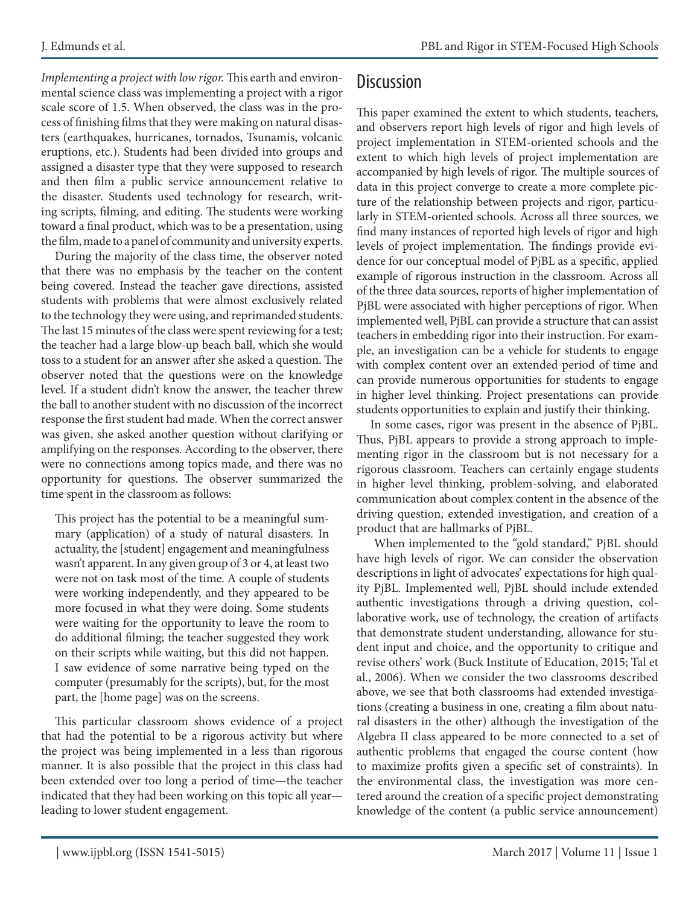*Implementing a project with low rigor.* This earth and environmental science class was implementing a project with a rigor scale score of 1.5. When observed, the class was in the process of finishing films that they were making on natural disasters (earthquakes, hurricanes, tornados, Tsunamis, volcanic eruptions, etc.). Students had been divided into groups and assigned a disaster type that they were supposed to research and then film a public service announcement relative to the disaster. Students used technology for research, writing scripts, filming, and editing. The students were working toward a final product, which was to be a presentation, using the film, made to a panel of community and university experts.

During the majority of the class time, the observer noted that there was no emphasis by the teacher on the content being covered. Instead the teacher gave directions, assisted students with problems that were almost exclusively related to the technology they were using, and reprimanded students. The last 15 minutes of the class were spent reviewing for a test; the teacher had a large blow-up beach ball, which she would toss to a student for an answer after she asked a question. The observer noted that the questions were on the knowledge level. If a student didn't know the answer, the teacher threw the ball to another student with no discussion of the incorrect response the first student had made. When the correct answer was given, she asked another question without clarifying or amplifying on the responses. According to the observer, there were no connections among topics made, and there was no opportunity for questions. The observer summarized the time spent in the classroom as follows:

This project has the potential to be a meaningful summary (application) of a study of natural disasters. In actuality, the [student] engagement and meaningfulness wasn't apparent. In any given group of 3 or 4, at least two were not on task most of the time. A couple of students were working independently, and they appeared to be more focused in what they were doing. Some students were waiting for the opportunity to leave the room to do additional filming; the teacher suggested they work on their scripts while waiting, but this did not happen. I saw evidence of some narrative being typed on the computer (presumably for the scripts), but, for the most part, the [home page] was on the screens.

This particular classroom shows evidence of a project that had the potential to be a rigorous activity but where the project was being implemented in a less than rigorous manner. It is also possible that the project in this class had been extended over too long a period of time—the teacher indicated that they had been working on this topic all year leading to lower student engagement.

### **Discussion**

This paper examined the extent to which students, teachers, and observers report high levels of rigor and high levels of project implementation in STEM-oriented schools and the extent to which high levels of project implementation are accompanied by high levels of rigor. The multiple sources of data in this project converge to create a more complete picture of the relationship between projects and rigor, particularly in STEM-oriented schools. Across all three sources, we find many instances of reported high levels of rigor and high levels of project implementation. The findings provide evidence for our conceptual model of PjBL as a specific, applied example of rigorous instruction in the classroom. Across all of the three data sources, reports of higher implementation of PjBL were associated with higher perceptions of rigor. When implemented well, PjBL can provide a structure that can assist teachers in embedding rigor into their instruction. For example, an investigation can be a vehicle for students to engage with complex content over an extended period of time and can provide numerous opportunities for students to engage in higher level thinking. Project presentations can provide students opportunities to explain and justify their thinking.

In some cases, rigor was present in the absence of PjBL. Thus, PjBL appears to provide a strong approach to implementing rigor in the classroom but is not necessary for a rigorous classroom. Teachers can certainly engage students in higher level thinking, problem-solving, and elaborated communication about complex content in the absence of the driving question, extended investigation, and creation of a product that are hallmarks of PjBL.

 When implemented to the "gold standard," PjBL should have high levels of rigor. We can consider the observation descriptions in light of advocates' expectations for high quality PjBL. Implemented well, PjBL should include extended authentic investigations through a driving question, collaborative work, use of technology, the creation of artifacts that demonstrate student understanding, allowance for student input and choice, and the opportunity to critique and revise others' work (Buck Institute of Education, 2015; Tal et al., 2006). When we consider the two classrooms described above, we see that both classrooms had extended investigations (creating a business in one, creating a film about natural disasters in the other) although the investigation of the Algebra II class appeared to be more connected to a set of authentic problems that engaged the course content (how to maximize profits given a specific set of constraints). In the environmental class, the investigation was more centered around the creation of a specific project demonstrating knowledge of the content (a public service announcement)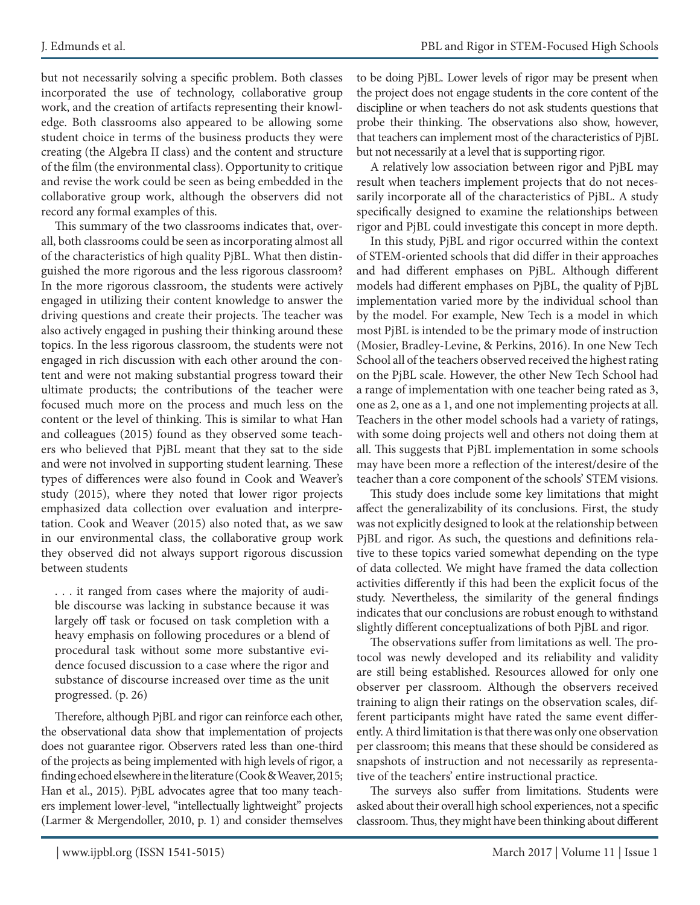but not necessarily solving a specific problem. Both classes incorporated the use of technology, collaborative group work, and the creation of artifacts representing their knowledge. Both classrooms also appeared to be allowing some student choice in terms of the business products they were creating (the Algebra II class) and the content and structure of the film (the environmental class). Opportunity to critique and revise the work could be seen as being embedded in the collaborative group work, although the observers did not record any formal examples of this.

This summary of the two classrooms indicates that, overall, both classrooms could be seen as incorporating almost all of the characteristics of high quality PjBL. What then distinguished the more rigorous and the less rigorous classroom? In the more rigorous classroom, the students were actively engaged in utilizing their content knowledge to answer the driving questions and create their projects. The teacher was also actively engaged in pushing their thinking around these topics. In the less rigorous classroom, the students were not engaged in rich discussion with each other around the content and were not making substantial progress toward their ultimate products; the contributions of the teacher were focused much more on the process and much less on the content or the level of thinking. This is similar to what Han and colleagues (2015) found as they observed some teachers who believed that PjBL meant that they sat to the side and were not involved in supporting student learning. These types of differences were also found in Cook and Weaver's study (2015), where they noted that lower rigor projects emphasized data collection over evaluation and interpretation. Cook and Weaver (2015) also noted that, as we saw in our environmental class, the collaborative group work they observed did not always support rigorous discussion between students

. . . it ranged from cases where the majority of audible discourse was lacking in substance because it was largely off task or focused on task completion with a heavy emphasis on following procedures or a blend of procedural task without some more substantive evidence focused discussion to a case where the rigor and substance of discourse increased over time as the unit progressed. (p. 26)

Therefore, although PjBL and rigor can reinforce each other, the observational data show that implementation of projects does not guarantee rigor. Observers rated less than one-third of the projects as being implemented with high levels of rigor, a finding echoed elsewhere in the literature (Cook & Weaver, 2015; Han et al., 2015). PjBL advocates agree that too many teachers implement lower-level, "intellectually lightweight" projects (Larmer & Mergendoller, 2010, p. 1) and consider themselves to be doing PjBL. Lower levels of rigor may be present when the project does not engage students in the core content of the discipline or when teachers do not ask students questions that probe their thinking. The observations also show, however, that teachers can implement most of the characteristics of PjBL but not necessarily at a level that is supporting rigor.

A relatively low association between rigor and PjBL may result when teachers implement projects that do not necessarily incorporate all of the characteristics of PjBL. A study specifically designed to examine the relationships between rigor and PjBL could investigate this concept in more depth.

In this study, PjBL and rigor occurred within the context of STEM-oriented schools that did differ in their approaches and had different emphases on PjBL. Although different models had different emphases on PjBL, the quality of PjBL implementation varied more by the individual school than by the model. For example, New Tech is a model in which most PjBL is intended to be the primary mode of instruction (Mosier, Bradley-Levine, & Perkins, 2016). In one New Tech School all of the teachers observed received the highest rating on the PjBL scale. However, the other New Tech School had a range of implementation with one teacher being rated as 3, one as 2, one as a 1, and one not implementing projects at all. Teachers in the other model schools had a variety of ratings, with some doing projects well and others not doing them at all. This suggests that PjBL implementation in some schools may have been more a reflection of the interest/desire of the teacher than a core component of the schools' STEM visions.

This study does include some key limitations that might affect the generalizability of its conclusions. First, the study was not explicitly designed to look at the relationship between PjBL and rigor. As such, the questions and definitions relative to these topics varied somewhat depending on the type of data collected. We might have framed the data collection activities differently if this had been the explicit focus of the study. Nevertheless, the similarity of the general findings indicates that our conclusions are robust enough to withstand slightly different conceptualizations of both PjBL and rigor.

The observations suffer from limitations as well. The protocol was newly developed and its reliability and validity are still being established. Resources allowed for only one observer per classroom. Although the observers received training to align their ratings on the observation scales, different participants might have rated the same event differently. A third limitation is that there was only one observation per classroom; this means that these should be considered as snapshots of instruction and not necessarily as representative of the teachers' entire instructional practice.

The surveys also suffer from limitations. Students were asked about their overall high school experiences, not a specific classroom. Thus, they might have been thinking about different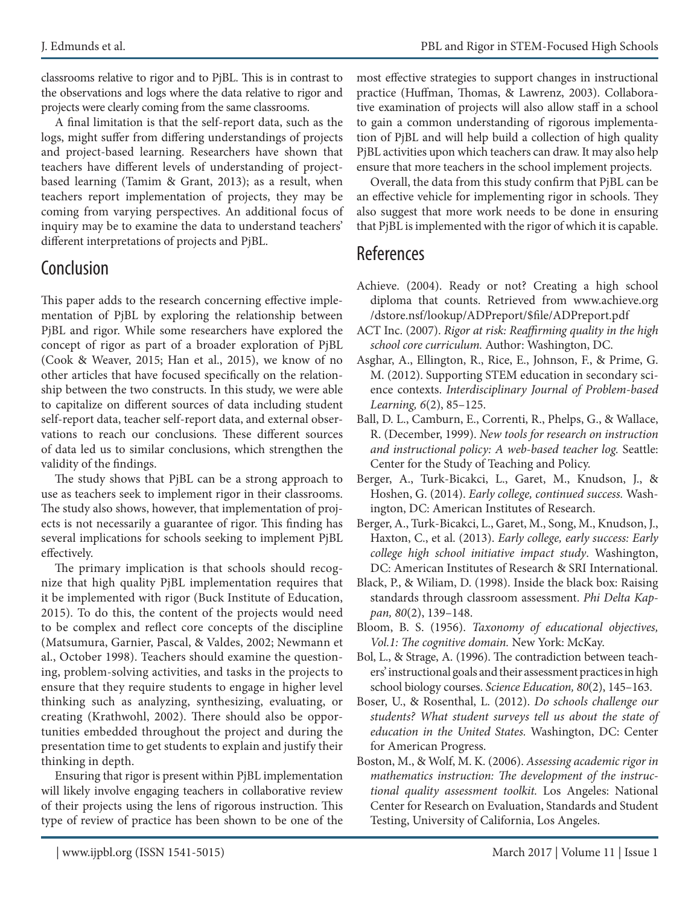classrooms relative to rigor and to PjBL. This is in contrast to the observations and logs where the data relative to rigor and projects were clearly coming from the same classrooms.

A final limitation is that the self-report data, such as the logs, might suffer from differing understandings of projects and project-based learning. Researchers have shown that teachers have different levels of understanding of projectbased learning (Tamim & Grant, 2013); as a result, when teachers report implementation of projects, they may be coming from varying perspectives. An additional focus of inquiry may be to examine the data to understand teachers' different interpretations of projects and PjBL.

### Conclusion

This paper adds to the research concerning effective implementation of PjBL by exploring the relationship between PjBL and rigor. While some researchers have explored the concept of rigor as part of a broader exploration of PjBL (Cook & Weaver, 2015; Han et al., 2015), we know of no other articles that have focused specifically on the relationship between the two constructs. In this study, we were able to capitalize on different sources of data including student self-report data, teacher self-report data, and external observations to reach our conclusions. These different sources of data led us to similar conclusions, which strengthen the validity of the findings.

The study shows that PjBL can be a strong approach to use as teachers seek to implement rigor in their classrooms. The study also shows, however, that implementation of projects is not necessarily a guarantee of rigor. This finding has several implications for schools seeking to implement PjBL effectively.

The primary implication is that schools should recognize that high quality PjBL implementation requires that it be implemented with rigor (Buck Institute of Education, 2015). To do this, the content of the projects would need to be complex and reflect core concepts of the discipline (Matsumura, Garnier, Pascal, & Valdes, 2002; Newmann et al., October 1998). Teachers should examine the questioning, problem-solving activities, and tasks in the projects to ensure that they require students to engage in higher level thinking such as analyzing, synthesizing, evaluating, or creating (Krathwohl, 2002). There should also be opportunities embedded throughout the project and during the presentation time to get students to explain and justify their thinking in depth.

Ensuring that rigor is present within PjBL implementation will likely involve engaging teachers in collaborative review of their projects using the lens of rigorous instruction. This type of review of practice has been shown to be one of the most effective strategies to support changes in instructional practice (Huffman, Thomas, & Lawrenz, 2003). Collaborative examination of projects will also allow staff in a school to gain a common understanding of rigorous implementation of PjBL and will help build a collection of high quality PjBL activities upon which teachers can draw. It may also help ensure that more teachers in the school implement projects.

Overall, the data from this study confirm that PjBL can be an effective vehicle for implementing rigor in schools. They also suggest that more work needs to be done in ensuring that PjBL is implemented with the rigor of which it is capable.

### **References**

- Achieve. (2004). Ready or not? Creating a high school diploma that counts. Retrieved from www.achieve.org /dstore.nsf/lookup/ADPreport/\$file/ADPreport.pdf
- ACT Inc. (2007). *Rigor at risk: Reaffirming quality in the high school core curriculum.* Author: Washington, DC.
- Asghar, A., Ellington, R., Rice, E., Johnson, F., & Prime, G. M. (2012). Supporting STEM education in secondary science contexts. *Interdisciplinary Journal of Problem-based Learning, 6*(2), 85–125.
- Ball, D. L., Camburn, E., Correnti, R., Phelps, G., & Wallace, R. (December, 1999). *New tools for research on instruction and instructional policy: A web-based teacher log.* Seattle: Center for the Study of Teaching and Policy.
- Berger, A., Turk-Bicakci, L., Garet, M., Knudson, J., & Hoshen, G. (2014). *Early college, continued success.* Washington, DC: American Institutes of Research.
- Berger, A., Turk-Bicakci, L., Garet, M., Song, M., Knudson, J., Haxton, C., et al. (2013). *Early college, early success: Early college high school initiative impact study*. Washington, DC: American Institutes of Research & SRI International.
- Black, P., & Wiliam, D. (1998). Inside the black box: Raising standards through classroom assessment. *Phi Delta Kappan, 80*(2), 139–148.
- Bloom, B. S. (1956). *Taxonomy of educational objectives, Vol.1: The cognitive domain.* New York: McKay.
- Bol, L., & Strage, A. (1996). The contradiction between teachers' instructional goals and their assessment practices in high school biology courses. *Science Education, 80*(2), 145–163.
- Boser, U., & Rosenthal, L. (2012). *Do schools challenge our students? What student surveys tell us about the state of education in the United States.* Washington, DC: Center for American Progress.
- Boston, M., & Wolf, M. K. (2006). *Assessing academic rigor in mathematics instruction: The development of the instructional quality assessment toolkit.* Los Angeles: National Center for Research on Evaluation, Standards and Student Testing, University of California, Los Angeles.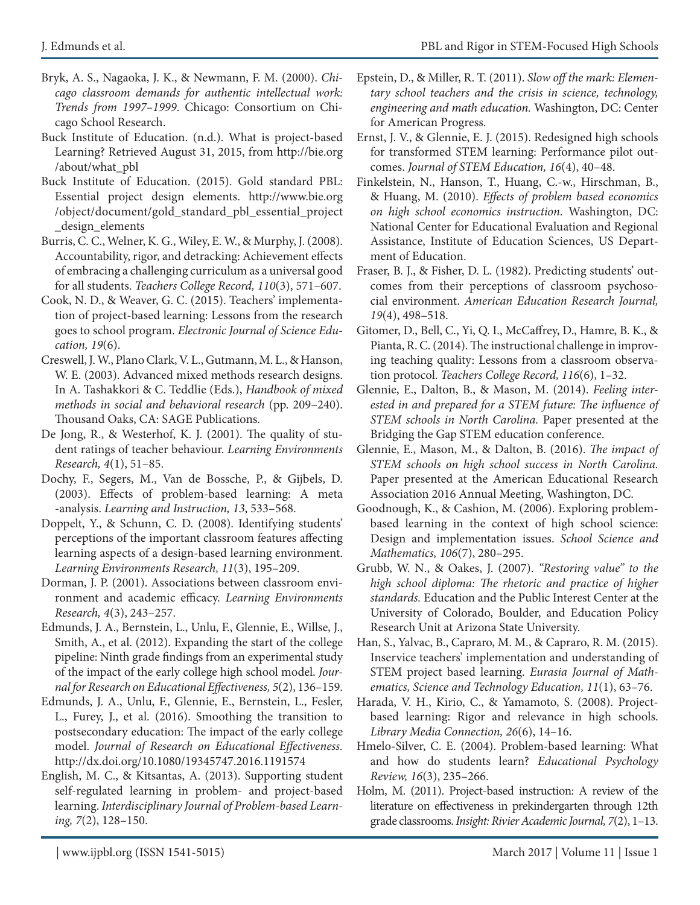- Bryk, A. S., Nagaoka, J. K., & Newmann, F. M. (2000). *Chicago classroom demands for authentic intellectual work: Trends from 1997–1999*. Chicago: Consortium on Chicago School Research.
- Buck Institute of Education. (n.d.). What is project-based Learning? Retrieved August 31, 2015, from http://bie.org /about/what\_pbl
- Buck Institute of Education. (2015). Gold standard PBL: Essential project design elements. http://www.bie.org /object/document/gold\_standard\_pbl\_essential\_project \_design\_elements
- Burris, C. C., Welner, K. G., Wiley, E. W., & Murphy, J. (2008). Accountability, rigor, and detracking: Achievement effects of embracing a challenging curriculum as a universal good for all students. *Teachers College Record, 110*(3), 571–607.
- Cook, N. D., & Weaver, G. C. (2015). Teachers' implementation of project-based learning: Lessons from the research goes to school program. *Electronic Journal of Science Education, 19*(6).
- Creswell, J. W., Plano Clark, V. L., Gutmann, M. L., & Hanson, W. E. (2003). Advanced mixed methods research designs. In A. Tashakkori & C. Teddlie (Eds.), *Handbook of mixed methods in social and behavioral research* (pp. 209–240). Thousand Oaks, CA: SAGE Publications.
- De Jong, R., & Westerhof, K. J. (2001). The quality of student ratings of teacher behaviour. *Learning Environments Research, 4*(1), 51–85.
- Dochy, F., Segers, M., Van de Bossche, P., & Gijbels, D. (2003). Effects of problem-based learning: A meta -analysis. *Learning and Instruction, 13*, 533–568.
- Doppelt, Y., & Schunn, C. D. (2008). Identifying students' perceptions of the important classroom features affecting learning aspects of a design-based learning environment. *Learning Environments Research, 11*(3), 195–209.
- Dorman, J. P. (2001). Associations between classroom environment and academic efficacy. *Learning Environments Research, 4*(3), 243–257.
- Edmunds, J. A., Bernstein, L., Unlu, F., Glennie, E., Willse, J., Smith, A., et al. (2012). Expanding the start of the college pipeline: Ninth grade findings from an experimental study of the impact of the early college high school model. *Journal for Research on Educational Effectiveness, 5*(2), 136–159.
- Edmunds, J. A., Unlu, F., Glennie, E., Bernstein, L., Fesler, L., Furey, J., et al. (2016). Smoothing the transition to postsecondary education: The impact of the early college model. *Journal of Research on Educational Effectiveness.*  http://dx.doi.org/10.1080/19345747.2016.1191574
- English, M. C., & Kitsantas, A. (2013). Supporting student self-regulated learning in problem- and project-based learning. *Interdisciplinary Journal of Problem-based Learning, 7*(2), 128–150.
- Epstein, D., & Miller, R. T. (2011). *Slow off the mark: Elementary school teachers and the crisis in science, technology, engineering and math education.* Washington, DC: Center for American Progress.
- Ernst, J. V., & Glennie, E. J. (2015). Redesigned high schools for transformed STEM learning: Performance pilot outcomes. *Journal of STEM Education, 16*(4), 40–48.
- Finkelstein, N., Hanson, T., Huang, C.-w., Hirschman, B., & Huang, M. (2010). *Effects of problem based economics on high school economics instruction.* Washington, DC: National Center for Educational Evaluation and Regional Assistance, Institute of Education Sciences, US Department of Education.
- Fraser, B. J., & Fisher, D. L. (1982). Predicting students' outcomes from their perceptions of classroom psychosocial environment. *American Education Research Journal, 19*(4), 498–518.
- Gitomer, D., Bell, C., Yi, Q. I., McCaffrey, D., Hamre, B. K., & Pianta, R. C. (2014). The instructional challenge in improving teaching quality: Lessons from a classroom observation protocol. *Teachers College Record, 116*(6), 1–32.
- Glennie, E., Dalton, B., & Mason, M. (2014). *Feeling interested in and prepared for a STEM future: The influence of STEM schools in North Carolina.* Paper presented at the Bridging the Gap STEM education conference.
- Glennie, E., Mason, M., & Dalton, B. (2016). *The impact of STEM schools on high school success in North Carolina.*  Paper presented at the American Educational Research Association 2016 Annual Meeting, Washington, DC.
- Goodnough, K., & Cashion, M. (2006). Exploring problembased learning in the context of high school science: Design and implementation issues. *School Science and Mathematics, 106*(7), 280–295.
- Grubb, W. N., & Oakes, J. (2007). *"Restoring value" to the high school diploma: The rhetoric and practice of higher standards.* Education and the Public Interest Center at the University of Colorado, Boulder, and Education Policy Research Unit at Arizona State University.
- Han, S., Yalvac, B., Capraro, M. M., & Capraro, R. M. (2015). Inservice teachers' implementation and understanding of STEM project based learning. *Eurasia Journal of Mathematics, Science and Technology Education, 11*(1), 63–76.
- Harada, V. H., Kirio, C., & Yamamoto, S. (2008). Projectbased learning: Rigor and relevance in high schools. *Library Media Connection, 26*(6), 14–16.
- Hmelo-Silver, C. E. (2004). Problem-based learning: What and how do students learn? *Educational Psychology Review, 16*(3), 235–266.
- Holm, M. (2011). Project-based instruction: A review of the literature on effectiveness in prekindergarten through 12th grade classrooms. *Insight: Rivier Academic Journal, 7*(2), 1–13.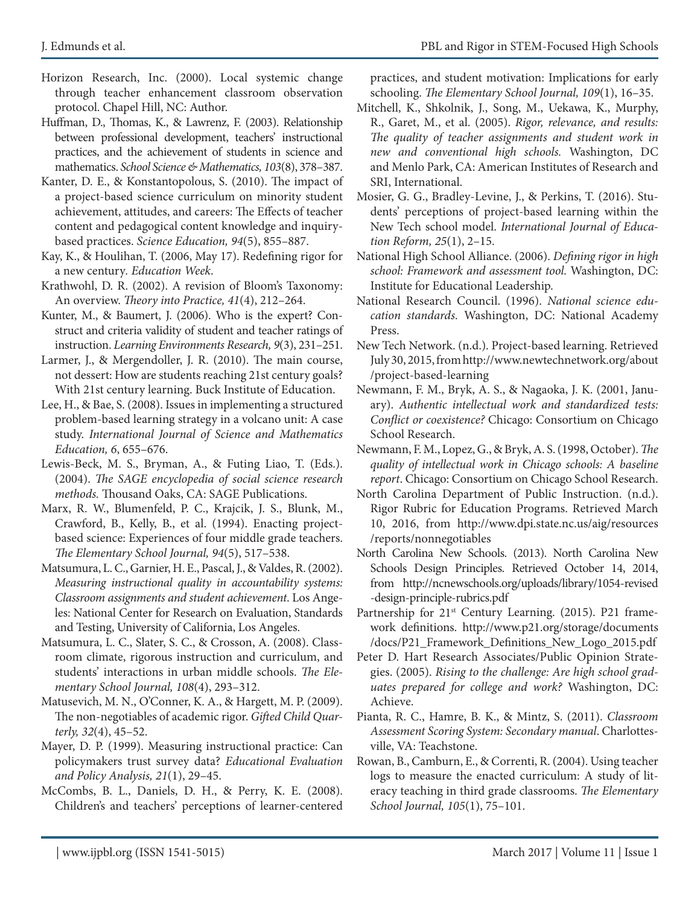- Horizon Research, Inc. (2000). Local systemic change through teacher enhancement classroom observation protocol. Chapel Hill, NC: Author.
- Huffman, D., Thomas, K., & Lawrenz, F. (2003). Relationship between professional development, teachers' instructional practices, and the achievement of students in science and mathematics. *School Science & Mathematics, 103*(8), 378–387.
- Kanter, D. E., & Konstantopolous, S. (2010). The impact of a project-based science curriculum on minority student achievement, attitudes, and careers: The Effects of teacher content and pedagogical content knowledge and inquirybased practices. *Science Education, 94*(5), 855–887.
- Kay, K., & Houlihan, T. (2006, May 17). Redefining rigor for a new century*. Education Week*.
- Krathwohl, D. R. (2002). A revision of Bloom's Taxonomy: An overview. *Theory into Practice, 41*(4), 212–264.
- Kunter, M., & Baumert, J. (2006). Who is the expert? Construct and criteria validity of student and teacher ratings of instruction. *Learning Environments Research, 9*(3), 231–251.
- Larmer, J., & Mergendoller, J. R. (2010). The main course, not dessert: How are students reaching 21st century goals? With 21st century learning. Buck Institute of Education.
- Lee, H., & Bae, S. (2008). Issues in implementing a structured problem-based learning strategy in a volcano unit: A case study. *International Journal of Science and Mathematics Education, 6*, 655–676.
- Lewis-Beck, M. S., Bryman, A., & Futing Liao, T. (Eds.). (2004). *The SAGE encyclopedia of social science research methods.* Thousand Oaks, CA: SAGE Publications.
- Marx, R. W., Blumenfeld, P. C., Krajcik, J. S., Blunk, M., Crawford, B., Kelly, B., et al. (1994). Enacting projectbased science: Experiences of four middle grade teachers. *The Elementary School Journal, 94*(5), 517–538.
- Matsumura, L. C., Garnier, H. E., Pascal, J., & Valdes, R. (2002). *Measuring instructional quality in accountability systems: Classroom assignments and student achievement*. Los Angeles: National Center for Research on Evaluation, Standards and Testing, University of California, Los Angeles.
- Matsumura, L. C., Slater, S. C., & Crosson, A. (2008). Classroom climate, rigorous instruction and curriculum, and students' interactions in urban middle schools. *The Elementary School Journal, 108*(4), 293–312.
- Matusevich, M. N., O'Conner, K. A., & Hargett, M. P. (2009). The non-negotiables of academic rigor. *Gifted Child Quarterly, 32*(4), 45–52.
- Mayer, D. P. (1999). Measuring instructional practice: Can policymakers trust survey data? *Educational Evaluation and Policy Analysis, 21*(1), 29–45.
- McCombs, B. L., Daniels, D. H., & Perry, K. E. (2008). Children's and teachers' perceptions of learner-centered

practices, and student motivation: Implications for early schooling. *The Elementary School Journal, 109*(1), 16–35.

- Mitchell, K., Shkolnik, J., Song, M., Uekawa, K., Murphy, R., Garet, M., et al. (2005). *Rigor, relevance, and results: The quality of teacher assignments and student work in new and conventional high schools.* Washington, DC and Menlo Park, CA: American Institutes of Research and SRI, International.
- Mosier, G. G., Bradley-Levine, J., & Perkins, T. (2016). Students' perceptions of project-based learning within the New Tech school model. *International Journal of Education Reform, 25*(1), 2–15.
- National High School Alliance. (2006). *Defining rigor in high school: Framework and assessment tool.* Washington, DC: Institute for Educational Leadership.
- National Research Council. (1996). *National science education standards.* Washington, DC: National Academy Press.
- New Tech Network. (n.d.). Project-based learning. Retrieved July 30, 2015, from http://www.newtechnetwork.org/about /project-based-learning
- Newmann, F. M., Bryk, A. S., & Nagaoka, J. K. (2001, January). *Authentic intellectual work and standardized tests: Conflict or coexistence?* Chicago: Consortium on Chicago School Research.
- Newmann, F. M., Lopez, G., & Bryk, A. S. (1998, October). *The quality of intellectual work in Chicago schools: A baseline report*. Chicago: Consortium on Chicago School Research.
- North Carolina Department of Public Instruction. (n.d.). Rigor Rubric for Education Programs. Retrieved March 10, 2016, from http://www.dpi.state.nc.us/aig/resources /reports/nonnegotiables
- North Carolina New Schools. (2013). North Carolina New Schools Design Principles. Retrieved October 14, 2014, from http://ncnewschools.org/uploads/library/1054-revised -design-principle-rubrics.pdf
- Partnership for 21<sup>st</sup> Century Learning. (2015). P21 framework definitions. http://www.p21.org/storage/documents /docs/P21\_Framework\_Definitions\_New\_Logo\_2015.pdf
- Peter D. Hart Research Associates/Public Opinion Strategies. (2005). *Rising to the challenge: Are high school graduates prepared for college and work?* Washington, DC: Achieve.
- Pianta, R. C., Hamre, B. K., & Mintz, S. (2011). *Classroom Assessment Scoring System: Secondary manual*. Charlottesville, VA: Teachstone.
- Rowan, B., Camburn, E., & Correnti, R. (2004). Using teacher logs to measure the enacted curriculum: A study of literacy teaching in third grade classrooms. *The Elementary School Journal, 105*(1), 75–101.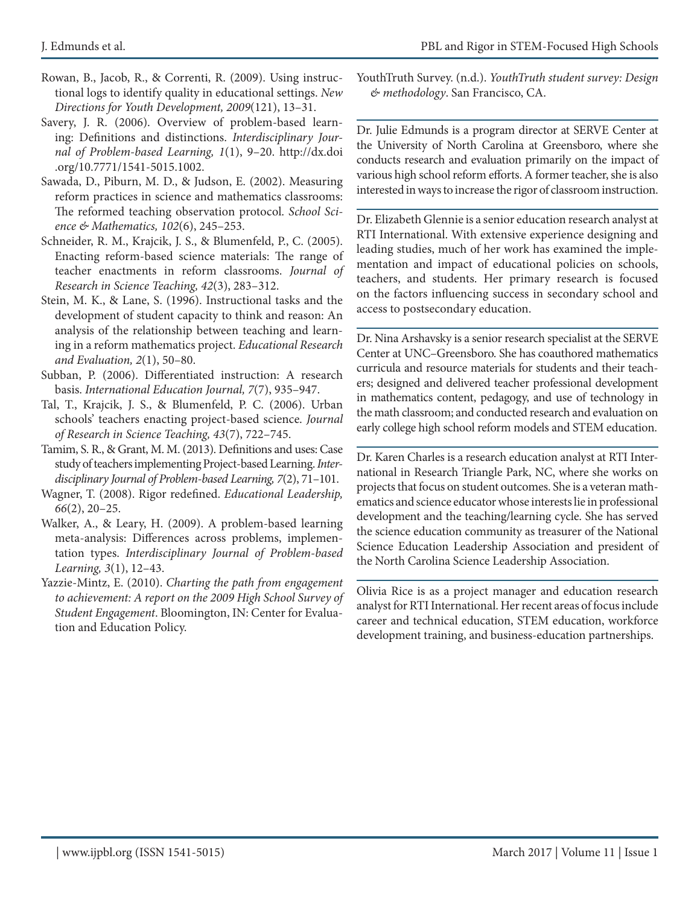- Rowan, B., Jacob, R., & Correnti, R. (2009). Using instructional logs to identify quality in educational settings. *New Directions for Youth Development, 2009*(121), 13–31.
- Savery, J. R. (2006). Overview of problem-based learning: Definitions and distinctions. *Interdisciplinary Journal of Problem-based Learning, 1*(1), 9–20. http://dx.doi .org/10.7771/1541-5015.1002.
- Sawada, D., Piburn, M. D., & Judson, E. (2002). Measuring reform practices in science and mathematics classrooms: The reformed teaching observation protocol. *School Science & Mathematics, 102*(6), 245–253.
- Schneider, R. M., Krajcik, J. S., & Blumenfeld, P., C. (2005). Enacting reform-based science materials: The range of teacher enactments in reform classrooms. *Journal of Research in Science Teaching, 42*(3), 283–312.
- Stein, M. K., & Lane, S. (1996). Instructional tasks and the development of student capacity to think and reason: An analysis of the relationship between teaching and learning in a reform mathematics project. *Educational Research and Evaluation, 2*(1), 50–80.
- Subban, P. (2006). Differentiated instruction: A research basis. *International Education Journal, 7*(7), 935–947.
- Tal, T., Krajcik, J. S., & Blumenfeld, P. C. (2006). Urban schools' teachers enacting project-based science. *Journal of Research in Science Teaching, 43*(7), 722–745.
- Tamim, S. R., & Grant, M. M. (2013). Definitions and uses: Case study of teachers implementing Project-based Learning. *Interdisciplinary Journal of Problem-based Learning, 7*(2), 71–101.
- Wagner, T. (2008). Rigor redefined. *Educational Leadership, 66*(2), 20–25.
- Walker, A., & Leary, H. (2009). A problem-based learning meta-analysis: Differences across problems, implementation types. *Interdisciplinary Journal of Problem-based Learning, 3*(1), 12–43.
- Yazzie-Mintz, E. (2010). *Charting the path from engagement to achievement: A report on the 2009 High School Survey of Student Engagement*. Bloomington, IN: Center for Evaluation and Education Policy.

YouthTruth Survey. (n.d.). *YouthTruth student survey: Design & methodology*. San Francisco, CA.

Dr. Julie Edmunds is a program director at SERVE Center at the University of North Carolina at Greensboro, where she conducts research and evaluation primarily on the impact of various high school reform efforts. A former teacher, she is also interested in ways to increase the rigor of classroom instruction.

Dr. Elizabeth Glennie is a senior education research analyst at RTI International. With extensive experience designing and leading studies, much of her work has examined the implementation and impact of educational policies on schools, teachers, and students. Her primary research is focused on the factors influencing success in secondary school and access to postsecondary education.

Dr. Nina Arshavsky is a senior research specialist at the SERVE Center at UNC–Greensboro. She has coauthored mathematics curricula and resource materials for students and their teachers; designed and delivered teacher professional development in mathematics content, pedagogy, and use of technology in the math classroom; and conducted research and evaluation on early college high school reform models and STEM education.

Dr. Karen Charles is a research education analyst at RTI International in Research Triangle Park, NC, where she works on projects that focus on student outcomes. She is a veteran mathematics and science educator whose interests lie in professional development and the teaching/learning cycle. She has served the science education community as treasurer of the National Science Education Leadership Association and president of the North Carolina Science Leadership Association.

Olivia Rice is as a project manager and education research analyst for RTI International. Her recent areas of focus include career and technical education, STEM education, workforce development training, and business-education partnerships.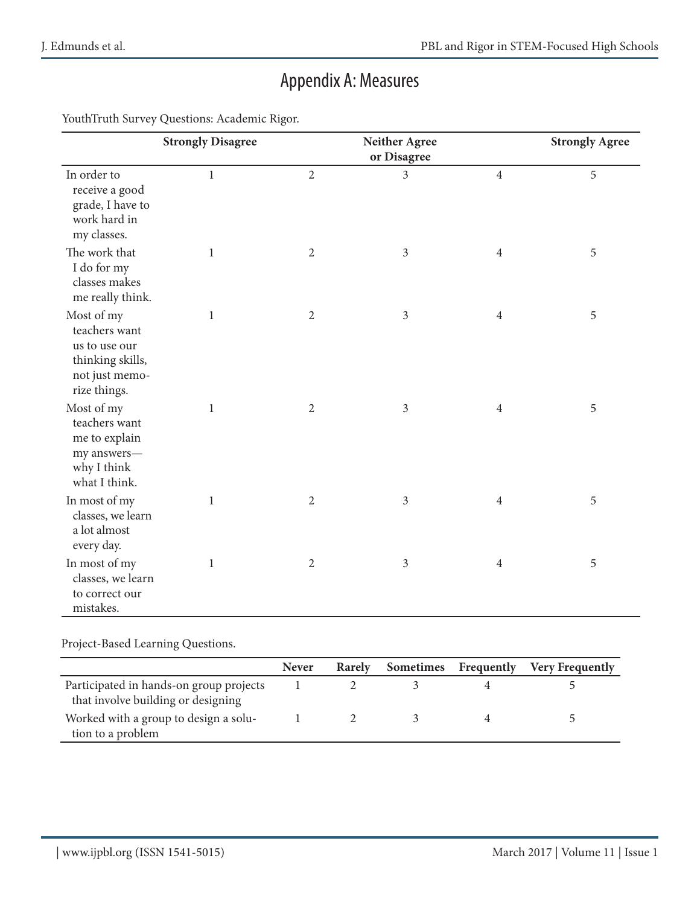# Appendix A: Measures

YouthTruth Survey Questions: Academic Rigor.

|                                                                                                    | <b>Strongly Disagree</b> |                | <b>Neither Agree</b><br>or Disagree |                | <b>Strongly Agree</b> |
|----------------------------------------------------------------------------------------------------|--------------------------|----------------|-------------------------------------|----------------|-----------------------|
| In order to<br>receive a good<br>grade, I have to<br>work hard in<br>my classes.                   | $\,1$                    | $\overline{2}$ | $\overline{3}$                      | $\overline{4}$ | 5                     |
| The work that<br>I do for my<br>classes makes<br>me really think.                                  | $\mathbf{1}$             | $\overline{2}$ | $\mathfrak{Z}$                      | $\overline{4}$ | $\mathbf 5$           |
| Most of my<br>teachers want<br>us to use our<br>thinking skills,<br>not just memo-<br>rize things. | $\mathbf{1}$             | $\sqrt{2}$     | $\mathfrak{Z}$                      | $\overline{4}$ | 5                     |
| Most of my<br>teachers want<br>me to explain<br>my answers-<br>why I think<br>what I think.        | $\,1$                    | $\sqrt{2}$     | $\mathfrak{Z}$                      | $\overline{4}$ | $\mathbf 5$           |
| In most of my<br>classes, we learn<br>a lot almost<br>every day.                                   | $\mathbf{1}$             | $\sqrt{2}$     | $\mathfrak{Z}$                      | $\overline{4}$ | 5                     |
| In most of my<br>classes, we learn<br>to correct our<br>mistakes.                                  | $\,1$                    | $\sqrt{2}$     | $\mathfrak{Z}$                      | $\overline{4}$ | $\mathbf 5$           |

#### Project-Based Learning Questions.

|                                                                               | <b>Never</b> | <b>Rarely</b> | Sometimes | Frequently | <b>Very Frequently</b> |
|-------------------------------------------------------------------------------|--------------|---------------|-----------|------------|------------------------|
| Participated in hands-on group projects<br>that involve building or designing |              |               |           |            |                        |
| Worked with a group to design a solu-<br>tion to a problem                    |              |               |           |            |                        |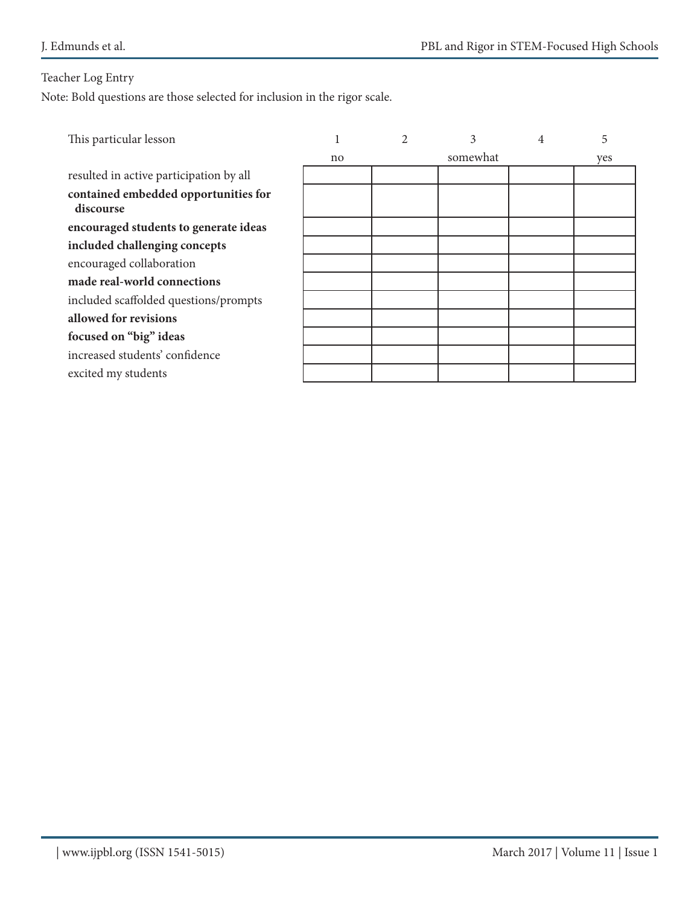### Teacher Log Entry

Note: Bold questions are those selected for inclusion in the rigor scale.

| This particular lesson                  |    | 3        | 4 | 5   |
|-----------------------------------------|----|----------|---|-----|
|                                         | no | somewhat |   | yes |
| resulted in active participation by all |    |          |   |     |
| contained embedded opportunities for    |    |          |   |     |
| discourse                               |    |          |   |     |
| encouraged students to generate ideas   |    |          |   |     |
| included challenging concepts           |    |          |   |     |
| encouraged collaboration                |    |          |   |     |
| made real-world connections             |    |          |   |     |
| included scaffolded questions/prompts   |    |          |   |     |
| allowed for revisions                   |    |          |   |     |
| focused on "big" ideas                  |    |          |   |     |
| increased students' confidence          |    |          |   |     |
| excited my students                     |    |          |   |     |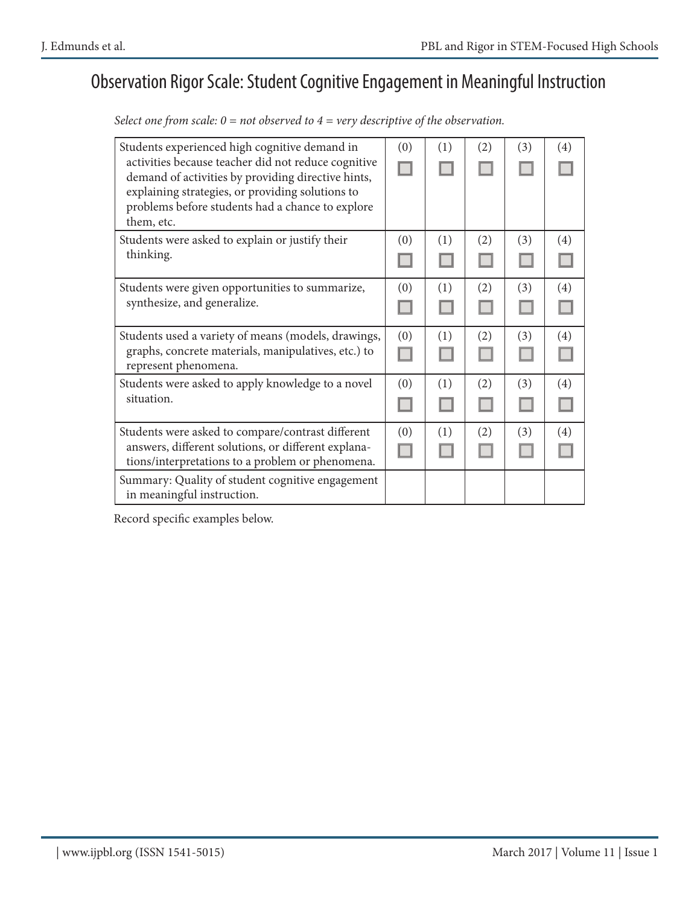### Observation Rigor Scale: Student Cognitive Engagement in Meaningful Instruction

*Select one from scale: 0 = not observed to 4 = very descriptive of the observation.*

| Students experienced high cognitive demand in<br>activities because teacher did not reduce cognitive<br>demand of activities by providing directive hints,<br>explaining strategies, or providing solutions to<br>problems before students had a chance to explore<br>them, etc. | (0)      | (1) | (2) | (3) | (4) |
|----------------------------------------------------------------------------------------------------------------------------------------------------------------------------------------------------------------------------------------------------------------------------------|----------|-----|-----|-----|-----|
| Students were asked to explain or justify their<br>thinking.                                                                                                                                                                                                                     | (0)      | (1) | (2) | (3) | (4) |
| Students were given opportunities to summarize,<br>synthesize, and generalize.                                                                                                                                                                                                   | (0)      | (1) | (2) | (3) | (4) |
| Students used a variety of means (models, drawings,<br>graphs, concrete materials, manipulatives, etc.) to<br>represent phenomena.                                                                                                                                               | (0)      | (1) | (2) | (3) | (4) |
| Students were asked to apply knowledge to a novel<br>situation.                                                                                                                                                                                                                  | (0)      | (1) | (2) | (3) | (4) |
| Students were asked to compare/contrast different<br>answers, different solutions, or different explana-<br>tions/interpretations to a problem or phenomena.                                                                                                                     | (0)<br>H | (1) | (2) | (3) | (4) |
| Summary: Quality of student cognitive engagement<br>in meaningful instruction.                                                                                                                                                                                                   |          |     |     |     |     |

Record specific examples below.